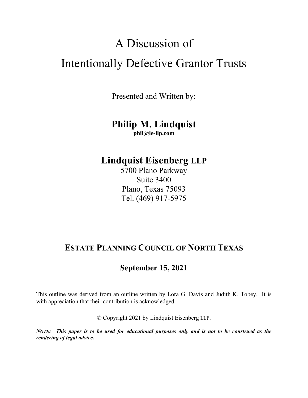# A Discussion of Intentionally Defective Grantor Trusts

Presented and Written by:

# **Philip M. Lindquist**

**phil@le-llp.com** 

## **Lindquist Eisenberg LLP**

5700 Plano Parkway Suite 3400 Plano, Texas 75093 Tel. (469) 917-5975

### **ESTATE PLANNING COUNCIL OF NORTH TEXAS**

### **September 15, 2021**

This outline was derived from an outline written by Lora G. Davis and Judith K. Tobey. It is with appreciation that their contribution is acknowledged.

© Copyright 2021 by Lindquist Eisenberg LLP.

*NOTE: This paper is to be used for educational purposes only and is not to be construed as the rendering of legal advice.*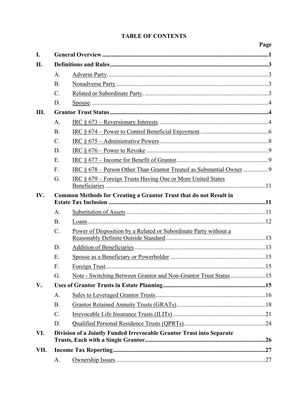#### **TABLE OF CONTENTS**

|      |                                                                   |                                                                         | Page |  |  |
|------|-------------------------------------------------------------------|-------------------------------------------------------------------------|------|--|--|
| I.   |                                                                   |                                                                         |      |  |  |
| II.  |                                                                   |                                                                         |      |  |  |
|      | A.                                                                |                                                                         |      |  |  |
|      | <b>B.</b>                                                         |                                                                         |      |  |  |
|      | $C$ .                                                             |                                                                         |      |  |  |
|      | D.                                                                |                                                                         |      |  |  |
| Ш.   |                                                                   |                                                                         |      |  |  |
|      | A.                                                                |                                                                         |      |  |  |
|      | <b>B.</b>                                                         |                                                                         |      |  |  |
|      | $C$ .                                                             |                                                                         |      |  |  |
|      | D.                                                                |                                                                         |      |  |  |
|      | E.                                                                |                                                                         |      |  |  |
|      | F.                                                                | IRC § 678 – Person Other Than Grantor Treated as Substantial Owner9     |      |  |  |
|      | G.                                                                | IRC § 679 – Foreign Trusts Having One or More United States             |      |  |  |
| IV.  | Common Methods for Creating a Grantor Trust that do not Result in |                                                                         |      |  |  |
|      | A.                                                                |                                                                         |      |  |  |
|      | <b>B.</b>                                                         |                                                                         |      |  |  |
|      | C.                                                                | Power of Disposition by a Related or Subordinate Party without a        |      |  |  |
|      |                                                                   |                                                                         |      |  |  |
|      | D.                                                                |                                                                         |      |  |  |
|      | Ε.                                                                |                                                                         |      |  |  |
|      | F.                                                                |                                                                         |      |  |  |
|      | G.                                                                | <u>Note - Switching Between Grantor and Non-Grantor Trust Status</u> 15 |      |  |  |
| V.   |                                                                   |                                                                         |      |  |  |
|      | A.                                                                |                                                                         |      |  |  |
|      | <b>B.</b>                                                         |                                                                         |      |  |  |
|      | C.                                                                |                                                                         |      |  |  |
|      | D.                                                                |                                                                         |      |  |  |
| VI.  |                                                                   | Division of a Jointly Funded Irrevocable Grantor Trust into Separate    |      |  |  |
| VII. |                                                                   |                                                                         |      |  |  |
|      | A.                                                                |                                                                         |      |  |  |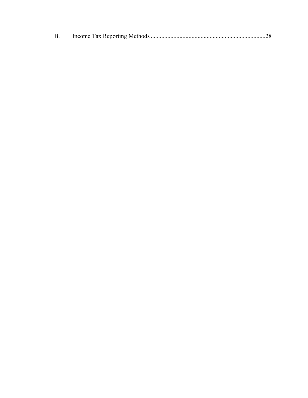| <b>B.</b> |  |
|-----------|--|
|           |  |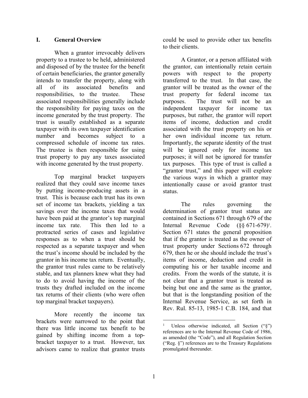#### **I. General Overview**

When a grantor irrevocably delivers property to a trustee to be held, administered and disposed of by the trustee for the benefit of certain beneficiaries, the grantor generally intends to transfer the property, along with all of its associated benefits and responsibilities, to the trustee. These associated responsibilities generally include the responsibility for paying taxes on the income generated by the trust property. The trust is usually established as a separate taxpayer with its own taxpayer identification number and becomes subject to a compressed schedule of income tax rates. The trustee is then responsible for using trust property to pay any taxes associated with income generated by the trust property.

Top marginal bracket taxpayers realized that they could save income taxes by putting income-producing assets in a trust. This is because each trust has its own set of income tax brackets, yielding a tax savings over the income taxes that would have been paid at the grantor's top marginal income tax rate. This then led to a protracted series of cases and legislative responses as to when a trust should be respected as a separate taxpayer and when the trust's income should be included by the grantor in his income tax return. Eventually, the grantor trust rules came to be relatively stable, and tax planners knew what they had to do to avoid having the income of the trusts they drafted included on the income tax returns of their clients (who were often top marginal bracket taxpayers).

More recently the income tax brackets were narrowed to the point that there was little income tax benefit to be gained by shifting income from a topbracket taxpayer to a trust. However, tax advisors came to realize that grantor trusts

could be used to provide other tax benefits to their clients.

A Grantor, or a person affiliated with the grantor, can intentionally retain certain powers with respect to the property transferred to the trust. In that case, the grantor will be treated as the owner of the trust property for federal income tax purposes. The trust will not be an independent taxpayer for income tax purposes, but rather, the grantor will report items of income, deduction and credit associated with the trust property on his or her own individual income tax return. Importantly, the separate identity of the trust will be ignored only for income tax purposes; it will not be ignored for transfer tax purposes. This type of trust is called a "grantor trust," and this paper will explore the various ways in which a grantor may intentionally cause or avoid grantor trust status.

The rules governing the determination of grantor trust status are contained in Sections 671 through 679 of the Internal Revenue Code  $(\S \S 671-679)^1$ . Section 671 states the general proposition that if the grantor is treated as the owner of trust property under Sections 672 through 679, then he or she should include the trust's items of income, deduction and credit in computing his or her taxable income and credits. From the words of the statute, it is not clear that a grantor trust is treated as being but one and the same as the grantor, but that is the longstanding position of the Internal Revenue Service, as set forth in Rev. Rul. 85-13, 1985-1 C.B. 184, and that

1

<sup>1</sup> Unless otherwise indicated, all Section ("§") references are to the Internal Revenue Code of 1986, as amended (the "Code"), and all Regulation Section ("Reg. §") references are to the Treasury Regulations promulgated thereunder.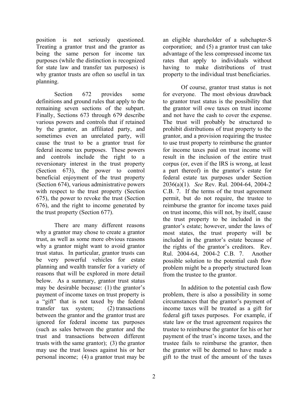position is not seriously questioned. Treating a grantor trust and the grantor as being the same person for income tax purposes (while the distinction is recognized for state law and transfer tax purposes) is why grantor trusts are often so useful in tax planning.

Section 672 provides some definitions and ground rules that apply to the remaining seven sections of the subpart. Finally, Sections 673 through 679 describe various powers and controls that if retained by the grantor, an affiliated party, and sometimes even an unrelated party, will cause the trust to be a grantor trust for federal income tax purposes. These powers and controls include the right to a reversionary interest in the trust property (Section 673), the power to control beneficial enjoyment of the trust property (Section 674), various administrative powers with respect to the trust property (Section 675), the power to revoke the trust (Section 676), and the right to income generated by the trust property (Section 677).

There are many different reasons why a grantor may chose to create a grantor trust, as well as some more obvious reasons why a grantor might want to avoid grantor trust status. In particular, grantor trusts can be very powerful vehicles for estate planning and wealth transfer for a variety of reasons that will be explored in more detail below. As a summary, grantor trust status may be desirable because: (1) the grantor's payment of income taxes on trust property is a "gift" that is not taxed by the federal transfer tax system; (2) transactions between the grantor and the grantor trust are ignored for federal income tax purposes (such as sales between the grantor and the trust and transactions between different trusts with the same grantor); (3) the grantor may use the trust losses against his or her personal income; (4) a grantor trust may be

an eligible shareholder of a subchapter-S corporation; and (5) a grantor trust can take advantage of the less compressed income tax rates that apply to individuals without having to make distributions of trust property to the individual trust beneficiaries.

Of course, grantor trust status is not for everyone. The most obvious drawback to grantor trust status is the possibility that the grantor will owe taxes on trust income and not have the cash to cover the expense. The trust will probably be structured to prohibit distributions of trust property to the grantor, and a provision requiring the trustee to use trust property to reimburse the grantor for income taxes paid on trust income will result in the inclusion of the entire trust corpus (or, even if the IRS is wrong, at least a part thereof) in the grantor's estate for federal estate tax purposes under Section 2036(a)(1). *See* Rev. Rul. 2004-64, 2004-2 C.B. 7. If the terms of the trust agreement permit, but do not require, the trustee to reimburse the grantor for income taxes paid on trust income, this will not, by itself, cause the trust property to be included in the grantor's estate; however, under the laws of most states, the trust property will be included in the grantor's estate because of the rights of the grantor's creditors. Rev. Rul. 2004-64, 2004-2 C.B. 7. Another possible solution to the potential cash flow problem might be a properly structured loan from the trustee to the grantor.

In addition to the potential cash flow problem, there is also a possibility in some circumstances that the grantor's payment of income taxes will be treated as a gift for federal gift taxes purposes. For example, if state law or the trust agreement requires the trustee to reimburse the grantor for his or her payment of the trust's income taxes, and the trustee fails to reimburse the grantor, then the grantor will be deemed to have made a gift to the trust of the amount of the taxes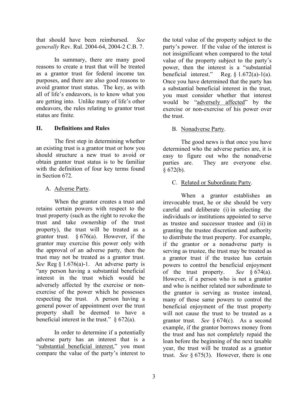that should have been reimbursed. *See generally* Rev. Rul. 2004-64, 2004-2 C.B. 7.

In summary, there are many good reasons to create a trust that will be treated as a grantor trust for federal income tax purposes, and there are also good reasons to avoid grantor trust status. The key, as with all of life's endeavors, is to know what you are getting into. Unlike many of life's other endeavors, the rules relating to grantor trust status are finite.

#### **II. Definitions and Rules**

The first step in determining whether an existing trust is a grantor trust or how you should structure a new trust to avoid or obtain grantor trust status is to be familiar with the definition of four key terms found in Section 672.

#### A. Adverse Party.

When the grantor creates a trust and retains certain powers with respect to the trust property (such as the right to revoke the trust and take ownership of the trust property), the trust will be treated as a grantor trust.  $§ 676(a)$ . However, if the grantor may exercise this power only with the approval of an adverse party, then the trust may not be treated as a grantor trust. *See* Reg § 1.676(a)-1. An adverse party is "any person having a substantial beneficial interest in the trust which would be adversely affected by the exercise or nonexercise of the power which he possesses respecting the trust. A person having a general power of appointment over the trust property shall be deemed to have a beneficial interest in the trust."  $§ 672(a)$ .

In order to determine if a potentially adverse party has an interest that is a "substantial beneficial interest," you must compare the value of the party's interest to

the total value of the property subject to the party's power. If the value of the interest is not insignificant when compared to the total value of the property subject to the party's power, then the interest is a "substantial<br>beneficial interest." Reg.  $\S 1.672(a)-1(a)$ . Reg.  $§ 1.672(a)-1(a)$ . Once you have determined that the party has a substantial beneficial interest in the trust, you must consider whether that interest would be "adversely affected" by the exercise or non-exercise of his power over the trust.

#### B. Nonadverse Party.

The good news is that once you have determined who the adverse parties are, it is easy to figure out who the nonadverse parties are. They are everyone else.  $§ 672(b).$ 

#### C. Related or Subordinate Party.

When a grantor establishes an irrevocable trust, he or she should be very careful and deliberate (i) in selecting the individuals or institutions appointed to serve as trustee and successor trustee and (ii) in granting the trustee discretion and authority to distribute the trust property. For example, if the grantor or a nonadverse party is serving as trustee, the trust may be treated as a grantor trust if the trustee has certain powers to control the beneficial enjoyment of the trust property. *See* § 674(a). However, if a person who is not a grantor and who is neither related nor subordinate to the grantor is serving as trustee instead, many of those same powers to control the beneficial enjoyment of the trust property will not cause the trust to be treated as a grantor trust. *See* § 674(c). As a second example, if the grantor borrows money from the trust and has not completely repaid the loan before the beginning of the next taxable year, the trust will be treated as a grantor trust. *See* § 675(3). However, there is one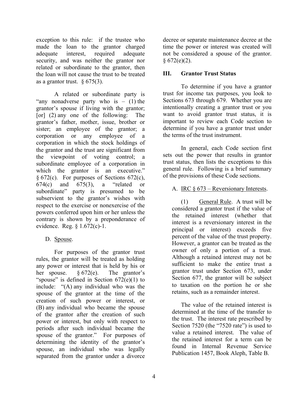exception to this rule: if the trustee who made the loan to the grantor charged adequate interest, required adequate security, and was neither the grantor nor related or subordinate to the grantor, then the loan will not cause the trust to be treated as a grantor trust.  $§ 675(3)$ .

A related or subordinate party is "any nonadverse party who is  $-$  (1) the grantor's spouse if living with the grantor; [or] (2) any one of the following: The grantor's father, mother, issue, brother or sister; an employee of the grantor; a corporation or any employee of a corporation in which the stock holdings of the grantor and the trust are significant from the viewpoint of voting control; a subordinate employee of a corporation in which the grantor is an executive."  $§ 672(c)$ . For purposes of Sections 672(c), 674(c) and 675(3), a "related or subordinate" party is presumed to be subservient to the grantor's wishes with respect to the exercise or nonexercise of the powers conferred upon him or her unless the contrary is shown by a preponderance of evidence. Reg. § 1.672(c)-1.

#### D. Spouse.

For purposes of the grantor trust rules, the grantor will be treated as holding any power or interest that is held by his or her spouse.  $\frac{672}{e}$ . The grantor's "spouse" is defined in Section  $672(e)(1)$  to include: "(A) any individual who was the spouse of the grantor at the time of the creation of such power or interest, or (B) any individual who became the spouse of the grantor after the creation of such power or interest, but only with respect to periods after such individual became the spouse of the grantor." For purposes of determining the identity of the grantor's spouse, an individual who was legally separated from the grantor under a divorce

decree or separate maintenance decree at the time the power or interest was created will not be considered a spouse of the grantor.  $§ 672(e)(2).$ 

#### **III. Grantor Trust Status**

To determine if you have a grantor trust for income tax purposes, you look to Sections 673 through 679. Whether you are intentionally creating a grantor trust or you want to avoid grantor trust status, it is important to review each Code section to determine if you have a grantor trust under the terms of the trust instrument.

In general, each Code section first sets out the power that results in grantor trust status, then lists the exceptions to this general rule. Following is a brief summary of the provisions of these Code sections.

#### A. IRC  $§$  673 – Reversionary Interests.

(1) General Rule. A trust will be considered a grantor trust if the value of the retained interest (whether that interest is a reversionary interest in the principal or interest) exceeds five percent of the value of the trust property. However, a grantor can be treated as the owner of only a portion of a trust. Although a retained interest may not be sufficient to make the entire trust a grantor trust under Section 673, under Section 677, the grantor will be subject to taxation on the portion he or she retains, such as a remainder interest.

The value of the retained interest is determined at the time of the transfer to the trust. The interest rate prescribed by Section 7520 (the "7520 rate") is used to value a retained interest. The value of the retained interest for a term can be found in Internal Revenue Service Publication 1457, Book Aleph, Table B.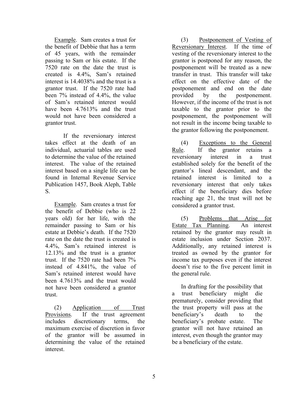Example. Sam creates a trust for the benefit of Debbie that has a term of 45 years, with the remainder passing to Sam or his estate. If the 7520 rate on the date the trust is created is 4.4%, Sam's retained interest is 14.4038% and the trust is a grantor trust. If the 7520 rate had been 7% instead of 4.4%, the value of Sam's retained interest would have been 4.7613\% and the trust would not have been considered a grantor trust.

If the reversionary interest takes effect at the death of an individual, actuarial tables are used to determine the value of the retained interest. The value of the retained interest based on a single life can be found in Internal Revenue Service Publication 1457, Book Aleph, Table S.

Example. Sam creates a trust for the benefit of Debbie (who is 22 years old) for her life, with the remainder passing to Sam or his estate at Debbie's death. If the 7520 rate on the date the trust is created is 4.4%, Sam's retained interest is 12.13% and the trust is a grantor trust. If the 7520 rate had been 7% instead of 4.841%, the value of Sam's retained interest would have been 4.7613% and the trust would not have been considered a grantor trust.

(2) Application of Trust Provisions. If the trust agreement includes discretionary terms, the maximum exercise of discretion in favor of the grantor will be assumed in determining the value of the retained interest.

(3) Postponement of Vesting of Reversionary Interest. If the time of vesting of the reversionary interest to the grantor is postponed for any reason, the postponement will be treated as a new transfer in trust. This transfer will take effect on the effective date of the postponement and end on the date provided by the postponement. However, if the income of the trust is not taxable to the grantor prior to the postponement, the postponement will not result in the income being taxable to the grantor following the postponement.

(4) Exceptions to the General Rule. If the grantor retains a reversionary interest in a trust established solely for the benefit of the grantor's lineal descendant, and the retained interest is limited to a reversionary interest that only takes effect if the beneficiary dies before reaching age 21, the trust will not be considered a grantor trust.

(5) Problems that Arise for Estate Tax Planning. An interest retained by the grantor may result in estate inclusion under Section 2037. Additionally, any retained interest is treated as owned by the grantor for income tax purposes even if the interest doesn't rise to the five percent limit in the general rule.

In drafting for the possibility that a trust beneficiary might die prematurely, consider providing that the trust property will pass at the beneficiary's death to the beneficiary's probate estate. The grantor will not have retained an interest, even though the grantor may be a beneficiary of the estate.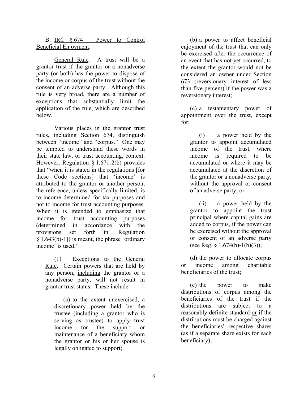B. IRC  $§ 674$  – Power to Control Beneficial Enjoyment.

General Rule. A trust will be a grantor trust if the grantor or a nonadverse party (or both) has the power to dispose of the income or corpus of the trust without the consent of an adverse party. Although this rule is very broad, there are a number of exceptions that substantially limit the application of the rule, which are described below.

Various places in the grantor trust rules, including Section 674, distinguish between "income" and "corpus." One may be tempted to understand these words in their state law, or trust accounting, context. However, Regulation § 1.671-2(b) provides that "when it is stated in the regulations [for these Code sections] that 'income' is attributed to the grantor or another person, the reference, unless specifically limited, is to income determined for tax purposes and not to income for trust accounting purposes. When it is intended to emphasize that income for trust accounting purposes (determined in accordance with the provisions set forth in [Regulation § 1.643(b)-1]) is meant, the phrase 'ordinary income' is used."

(1) Exceptions to the General Rule. Certain powers that are held by any person, including the grantor or a nonadverse party, will not result in grantor trust status. These include:

(a) to the extent unexercised, a discretionary power held by the trustee (including a grantor who is serving as trustee) to apply trust income for the support or maintenance of a beneficiary whom the grantor or his or her spouse is legally obligated to support;

(b) a power to affect beneficial enjoyment of the trust that can only be exercised after the occurrence of an event that has not yet occurred, to the extent the grantor would not be considered an owner under Section 673 (reversionary interest of less than five percent) if the power was a reversionary interest;

(c) a testamentary power of appointment over the trust, except for:

(i) a power held by the grantor to appoint accumulated income of the trust, where income is required to be accumulated or where it may be accumulated at the discretion of the grantor or a nonadverse party, without the approval or consent of an adverse party; or

(ii) a power held by the grantor to appoint the trust principal where capital gains are added to corpus, if the power can be exercised without the approval or consent of an adverse party (see Reg. § 1.674(b)-1(b)(3));

(d) the power to allocate corpus or income among charitable beneficiaries of the trust;

(e) the power to make distributions of corpus among the beneficiaries of the trust if the distributions are subject to a reasonably definite standard or if the distributions must be charged against the beneficiaries' respective shares (as if a separate share exists for each beneficiary);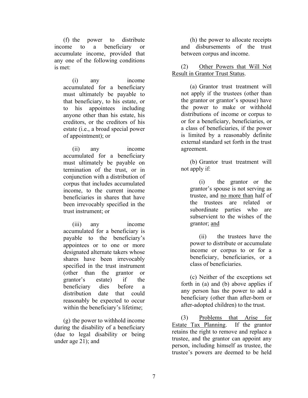(f) the power to distribute income to a beneficiary or accumulate income, provided that any one of the following conditions is met:

(i) any income accumulated for a beneficiary must ultimately be payable to that beneficiary, to his estate, or to his appointees including anyone other than his estate, his creditors, or the creditors of his estate (i.e., a broad special power of appointment); or

(ii) any income accumulated for a beneficiary must ultimately be payable on termination of the trust, or in conjunction with a distribution of corpus that includes accumulated income, to the current income beneficiaries in shares that have been irrevocably specified in the trust instrument; or

(iii) any income accumulated for a beneficiary is payable to the beneficiary's appointees or to one or more designated alternate takers whose shares have been irrevocably specified in the trust instrument (other than the grantor or grantor's estate) if the beneficiary dies before a distribution date that could reasonably be expected to occur within the beneficiary's lifetime;

(g) the power to withhold income during the disability of a beneficiary (due to legal disability or being under age 21); and

(h) the power to allocate receipts and disbursements of the trust between corpus and income.

(2) Other Powers that Will Not Result in Grantor Trust Status.

(a) Grantor trust treatment will not apply if the trustees (other than the grantor or grantor's spouse) have the power to make or withhold distributions of income or corpus to or for a beneficiary, beneficiaries, or a class of beneficiaries, if the power is limited by a reasonably definite external standard set forth in the trust agreement.

(b) Grantor trust treatment will not apply if:

(i) the grantor or the grantor's spouse is not serving as trustee, and no more than half of the trustees are related or subordinate parties who are subservient to the wishes of the grantor; and

(ii) the trustees have the power to distribute or accumulate income or corpus to or for a beneficiary, beneficiaries, or a class of beneficiaries.

(c) Neither of the exceptions set forth in (a) and (b) above applies if any person has the power to add a beneficiary (other than after-born or after-adopted children) to the trust.

(3) Problems that Arise for Estate Tax Planning. If the grantor retains the right to remove and replace a trustee, and the grantor can appoint any person, including himself as trustee, the trustee's powers are deemed to be held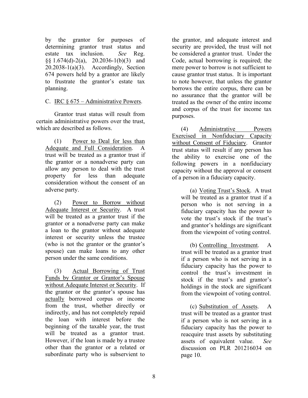by the grantor for purposes of determining grantor trust status and estate tax inclusion. *See* Reg.  $\S$ § 1.674(d)-2(a), 20.2036-1(b)(3) and  $20.2038 - 1(a)(3)$ . Accordingly, Section 674 powers held by a grantor are likely to frustrate the grantor's estate tax planning.

#### C. IRC § 675 – Administrative Powers.

Grantor trust status will result from certain administrative powers over the trust, which are described as follows.

(1) Power to Deal for less than Adequate and Full Consideration. A trust will be treated as a grantor trust if the grantor or a nonadverse party can allow any person to deal with the trust property for less than adequate consideration without the consent of an adverse party.

(2) Power to Borrow without Adequate Interest or Security. A trust will be treated as a grantor trust if the grantor or a nonadverse party can make a loan to the grantor without adequate interest or security unless the trustee (who is not the grantor or the grantor's spouse) can make loans to any other person under the same conditions.

(3) Actual Borrowing of Trust Funds by Grantor or Grantor's Spouse without Adequate Interest or Security. If the grantor or the grantor's spouse has actually borrowed corpus or income from the trust, whether directly or indirectly, and has not completely repaid the loan with interest before the beginning of the taxable year, the trust will be treated as a grantor trust. However, if the loan is made by a trustee other than the grantor or a related or subordinate party who is subservient to

the grantor, and adequate interest and security are provided, the trust will not be considered a grantor trust. Under the Code, actual borrowing is required; the mere power to borrow is not sufficient to cause grantor trust status. It is important to note however, that unless the grantor borrows the entire corpus, there can be no assurance that the grantor will be treated as the owner of the entire income and corpus of the trust for income tax purposes.

(4) Administrative Powers Exercised in Nonfiduciary Capacity without Consent of Fiduciary. Grantor trust status will result if any person has the ability to exercise one of the following powers in a nonfiduciary capacity without the approval or consent of a person in a fiduciary capacity.

(a) Voting Trust's Stock. A trust will be treated as a grantor trust if a person who is not serving in a fiduciary capacity has the power to vote the trust's stock if the trust's and grantor's holdings are significant from the viewpoint of voting control.

(b) Controlling Investment. A trust will be treated as a grantor trust if a person who is not serving in a fiduciary capacity has the power to control the trust's investment in stock if the trust's and grantor's holdings in the stock are significant from the viewpoint of voting control.

(c) Substitution of Assets. A trust will be treated as a grantor trust if a person who is not serving in a fiduciary capacity has the power to reacquire trust assets by substituting assets of equivalent value. *See* discussion on PLR 201216034 on page 10.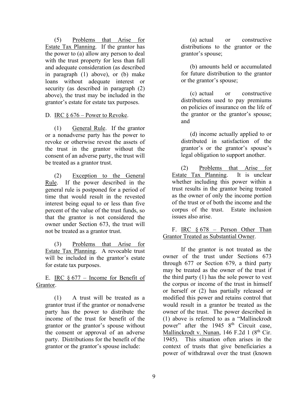(5) Problems that Arise for Estate Tax Planning. If the grantor has the power to (a) allow any person to deal with the trust property for less than full and adequate consideration (as described in paragraph (1) above), or (b) make loans without adequate interest or security (as described in paragraph (2) above), the trust may be included in the grantor's estate for estate tax purposes.

#### D. IRC  $\S 676$  – Power to Revoke.

(1) General Rule. If the grantor or a nonadverse party has the power to revoke or otherwise revest the assets of the trust in the grantor without the consent of an adverse party, the trust will be treated as a grantor trust.

(2) Exception to the General Rule. If the power described in the general rule is postponed for a period of time that would result in the revested interest being equal to or less than five percent of the value of the trust funds, so that the grantor is not considered the owner under Section 673, the trust will not be treated as a grantor trust.

(3) Problems that Arise for Estate Tax Planning. A revocable trust will be included in the grantor's estate for estate tax purposes.

E. IRC  $§$  677 – Income for Benefit of Grantor.

(1) A trust will be treated as a grantor trust if the grantor or nonadverse party has the power to distribute the income of the trust for benefit of the grantor or the grantor's spouse without the consent or approval of an adverse party. Distributions for the benefit of the grantor or the grantor's spouse include:

(a) actual or constructive distributions to the grantor or the grantor's spouse;

(b) amounts held or accumulated for future distribution to the grantor or the grantor's spouse;

(c) actual or constructive distributions used to pay premiums on policies of insurance on the life of the grantor or the grantor's spouse; and

(d) income actually applied to or distributed in satisfaction of the grantor's or the grantor's spouse's legal obligation to support another.

(2) Problems that Arise for Estate Tax Planning. It is unclear whether including this power within a trust results in the grantor being treated as the owner of only the income portion of the trust or of both the income and the corpus of the trust. Estate inclusion issues also arise.

#### F. IRC § 678 – Person Other Than Grantor Treated as Substantial Owner.

If the grantor is not treated as the owner of the trust under Sections 673 through 677 or Section 679, a third party may be treated as the owner of the trust if the third party (1) has the sole power to vest the corpus or income of the trust in himself or herself or (2) has partially released or modified this power and retains control that would result in a grantor be treated as the owner of the trust. The power described in (1) above is referred to as a "Mallinckrodt power" after the 1945  $8<sup>th</sup>$  Circuit case, Mallinckrodt v. Nunan,  $146$  F.2d 1 ( $8<sup>th</sup>$  Cir. 1945). This situation often arises in the context of trusts that give beneficiaries a power of withdrawal over the trust (known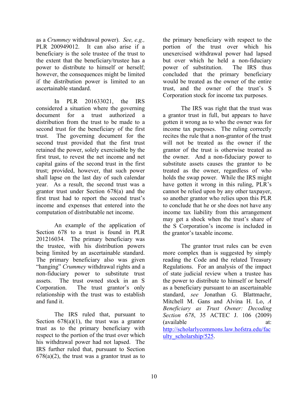as a *Crummey* withdrawal power). *See, e.g.,*  PLR 200949012. It can also arise if a beneficiary is the sole trustee of the trust to the extent that the beneficiary/trustee has a power to distribute to himself or herself; however, the consequences might be limited if the distribution power is limited to an ascertainable standard.

 In PLR 201633021, the IRS considered a situation where the governing document for a trust authorized a distribution from the trust to be made to a second trust for the beneficiary of the first trust. The governing document for the second trust provided that the first trust retained the power, solely exercisable by the first trust, to revest the net income and net capital gains of the second trust in the first trust; provided, however, that such power shall lapse on the last day of such calendar year. As a result, the second trust was a grantor trust under Section 678(a) and the first trust had to report the second trust's income and expenses that entered into the computation of distributable net income.

 An example of the application of Section 678 to a trust is found in PLR 201216034. The primary beneficiary was the trustee, with his distribution powers being limited by an ascertainable standard. The primary beneficiary also was given "hanging" *Crummey* withdrawal rights and a non-fiduciary power to substitute trust assets. The trust owned stock in an S Corporation. The trust grantor's only relationship with the trust was to establish and fund it.

 The IRS ruled that, pursuant to Section  $678(a)(1)$ , the trust was a grantor trust as to the primary beneficiary with respect to the portion of the trust over which his withdrawal power had not lapsed. The IRS further ruled that, pursuant to Section  $678(a)(2)$ , the trust was a grantor trust as to

the primary beneficiary with respect to the portion of the trust over which his unexercised withdrawal power had lapsed but over which he held a non-fiduciary power of substitution. The IRS thus concluded that the primary beneficiary would be treated as the owner of the entire trust, and the owner of the trust's S Corporation stock for income tax purposes.

 The IRS was right that the trust was a grantor trust in full, but appears to have gotten it wrong as to who the owner was for income tax purposes. The ruling correctly recites the rule that a non-grantor of the trust will not be treated as the owner if the grantor of the trust is otherwise treated as the owner. And a non-fiduciary power to substitute assets causes the grantor to be treated as the owner, regardless of who holds the swap power. While the IRS might have gotten it wrong in this ruling, PLR's cannot be relied upon by any other taxpayer, so another grantor who relies upon this PLR to conclude that he or she does not have any income tax liability from this arrangement may get a shock when the trust's share of the S Corporation's income is included in the grantor's taxable income.

 The grantor trust rules can be even more complex than is suggested by simply reading the Code and the related Treasury Regulations. For an analysis of the impact of state judicial review when a trustee has the power to distribute to himself or herself as a beneficiary pursuant to an ascertainable standard, *see* Jonathan G. Blattmachr, Mitchell M. Gans and Alvina H. Lo, *A Beneficiary as Trust Owner: Decoding Section 678*, 35 ACTEC J. 106 (2009) (available at: http://scholarlycommons.law.hofstra.edu/fac ulty scholarship/525.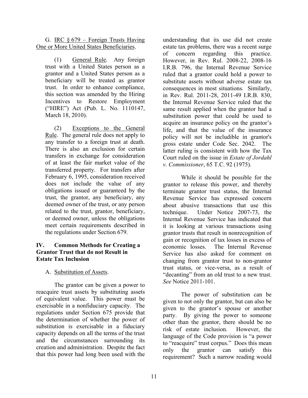G. IRC  $§$  679 – Foreign Trusts Having One or More United States Beneficiaries.

(1) General Rule. Any foreign trust with a United States person as a grantor and a United States person as a beneficiary will be treated as grantor trust. In order to enhance compliance, this section was amended by the Hiring Incentives to Restore Employment ("HIRE") Act (Pub. L. No. 1110147, March 18, 2010).

(2) Exceptions to the General Rule. The general rule does not apply to any transfer to a foreign trust at death. There is also an exclusion for certain transfers in exchange for consideration of at least the fair market value of the transferred property. For transfers after February 6, 1995, consideration received does not include the value of any obligations issued or guaranteed by the trust, the grantor, any beneficiary, any deemed owner of the trust, or any person related to the trust, grantor, beneficiary, or deemed owner, unless the obligations meet certain requirements described in the regulations under Section 679.

#### **IV. Common Methods for Creating a Grantor Trust that do not Result in Estate Tax Inclusion**

A. Substitution of Assets.

The grantor can be given a power to reacquire trust assets by substituting assets of equivalent value. This power must be exercisable in a nonfiduciary capacity. The regulations under Section 675 provide that the determination of whether the power of substitution is exercisable in a fiduciary capacity depends on all the terms of the trust and the circumstances surrounding its creation and administration. Despite the fact that this power had long been used with the

understanding that its use did not create estate tax problems, there was a recent surge of concern regarding this practice. However, in Rev. Rul. 2008-22, 2008-16 I.R.B. 796, the Internal Revenue Service ruled that a grantor could hold a power to substitute assets without adverse estate tax consequences in most situations. Similarly, in Rev. Rul. 2011-28, 2011-49 I.R.B. 830, the Internal Revenue Service ruled that the same result applied when the grantor had a substitution power that could be used to acquire an insurance policy on the grantor's life, and that the value of the insurance policy will not be includible in grantor's gross estate under Code Sec. 2042. The latter ruling is consistent with how the Tax Court ruled on the issue in *Estate of Jordahl v. Commissioner*, 65 T.C. 92 (1975).

While it should be possible for the grantor to release this power, and thereby terminate grantor trust status, the Internal Revenue Service has expressed concern about abusive transactions that use this technique. Under Notice 2007-73, the Internal Revenue Service has indicated that it is looking at various transactions using grantor trusts that result in nonrecognition of gain or recognition of tax losses in excess of economic losses. The Internal Revenue Service has also asked for comment on changing from grantor trust to non-grantor trust status, or vice-versa, as a result of "decanting" from an old trust to a new trust. *See* Notice 2011-101.

The power of substitution can be given to not only the grantor, but can also be given to the grantor's spouse or another party. By giving the power to someone other than the grantor, there should be no risk of estate inclusion. However, the language of the Code provision is "a power to "reacquire" trust corpus." Does this mean only the grantor can satisfy this requirement? Such a narrow reading would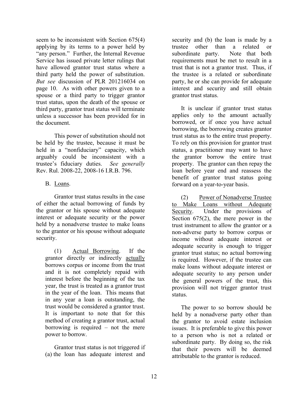seem to be inconsistent with Section 675(4) applying by its terms to a power held by "any person." Further, the Internal Revenue Service has issued private letter rulings that have allowed grantor trust status where a third party held the power of substitution. *But see* discussion of PLR 201216034 on page 10. As with other powers given to a spouse or a third party to trigger grantor trust status, upon the death of the spouse or third party, grantor trust status will terminate unless a successor has been provided for in the document.

This power of substitution should not be held by the trustee, because it must be held in a "nonfiduciary" capacity, which arguably could be inconsistent with a trustee's fiduciary duties. *See generally*  Rev. Rul. 2008-22, 2008-16 I.R.B. 796.

#### B. Loans.

Grantor trust status results in the case of either the actual borrowing of funds by the grantor or his spouse without adequate interest or adequate security or the power held by a nonadverse trustee to make loans to the grantor or his spouse without adequate security.

(1) Actual Borrowing. If the grantor directly or indirectly actually borrows corpus or income from the trust and it is not completely repaid with interest before the beginning of the tax year, the trust is treated as a grantor trust in the year of the loan. This means that in any year a loan is outstanding, the trust would be considered a grantor trust. It is important to note that for this method of creating a grantor trust, actual borrowing is required – not the mere power to borrow.

Grantor trust status is not triggered if (a) the loan has adequate interest and

security and (b) the loan is made by a trustee other than a related or subordinate party. Note that both requirements must be met to result in a trust that is not a grantor trust. Thus, if the trustee is a related or subordinate party, he or she can provide for adequate interest and security and still obtain grantor trust status.

It is unclear if grantor trust status applies only to the amount actually borrowed, or if once you have actual borrowing, the borrowing creates grantor trust status as to the entire trust property. To rely on this provision for grantor trust status, a practitioner may want to have the grantor borrow the entire trust property. The grantor can then repay the loan before year end and reassess the benefit of grantor trust status going forward on a year-to-year basis.

(2) Power of Nonadverse Trustee to Make Loans without Adequate Security. Under the provisions of Section 675(2), the mere power in the trust instrument to allow the grantor or a non-adverse party to borrow corpus or income without adequate interest or adequate security is enough to trigger grantor trust status; no actual borrowing is required. However, if the trustee can make loans without adequate interest or adequate security to any person under the general powers of the trust, this provision will not trigger grantor trust status.

The power to so borrow should be held by a nonadverse party other than the grantor to avoid estate inclusion issues. It is preferable to give this power to a person who is not a related or subordinate party. By doing so, the risk that their powers will be deemed attributable to the grantor is reduced.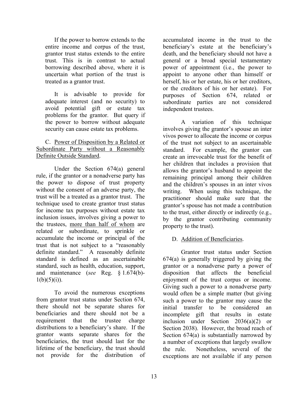If the power to borrow extends to the entire income and corpus of the trust, grantor trust status extends to the entire trust. This is in contrast to actual borrowing described above, where it is uncertain what portion of the trust is treated as a grantor trust.

It is advisable to provide for adequate interest (and no security) to avoid potential gift or estate tax problems for the grantor. But query if the power to borrow without adequate security can cause estate tax problems.

#### C. Power of Disposition by a Related or Subordinate Party without a Reasonably Definite Outside Standard.

Under the Section 674(a) general rule, if the grantor or a nonadverse party has the power to dispose of trust property without the consent of an adverse party, the trust will be a treated as a grantor trust. The technique used to create grantor trust status for income tax purposes without estate tax inclusion issues, involves giving a power to the trustees, more than half of whom are related or subordinate, to sprinkle or accumulate the income or principal of the trust that is not subject to a "reasonably definite standard." A reasonably definite standard is defined as an ascertainable standard, such as health, education, support, and maintenance (*see* Reg. § 1.674(b)-  $1(b)(5)(i)).$ 

To avoid the numerous exceptions from grantor trust status under Section 674, there should not be separate shares for beneficiaries and there should not be a requirement that the trustee charge distributions to a beneficiary's share. If the grantor wants separate shares for the beneficiaries, the trust should last for the lifetime of the beneficiary, the trust should not provide for the distribution of accumulated income in the trust to the beneficiary's estate at the beneficiary's death, and the beneficiary should not have a general or a broad special testamentary power of appointment (i.e., the power to appoint to anyone other than himself or herself, his or her estate, his or her creditors, or the creditors of his or her estate). For purposes of Section 674, related or subordinate parties are not considered independent trustees.

A variation of this technique involves giving the grantor's spouse an inter vivos power to allocate the income or corpus of the trust not subject to an ascertainable standard. For example, the grantor can create an irrevocable trust for the benefit of her children that includes a provision that allows the grantor's husband to appoint the remaining principal among their children and the children's spouses in an inter vivos writing. When using this technique, the practitioner should make sure that the grantor's spouse has not made a contribution to the trust, either directly or indirectly (e.g., by the grantor contributing community property to the trust).

#### D. Addition of Beneficiaries.

Grantor trust status under Section 674(a) is generally triggered by giving the grantor or a nonadverse party a power of disposition that affects the beneficial enjoyment of the trust corpus or income. Giving such a power to a nonadverse party would often be a simple matter (but giving such a power to the grantor may cause the initial transfer to be considered an incomplete gift that results in estate inclusion under Section 2036(a)(2) or Section 2038). However, the broad reach of Section 674(a) is substantially narrowed by a number of exceptions that largely swallow the rule. Nonetheless, several of the exceptions are not available if any person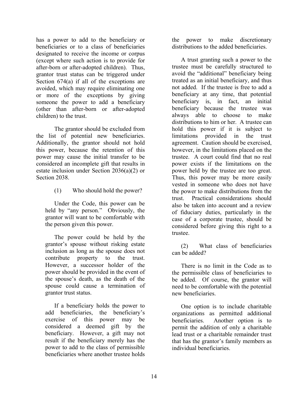has a power to add to the beneficiary or beneficiaries or to a class of beneficiaries designated to receive the income or corpus (except where such action is to provide for after-born or after-adopted children). Thus, grantor trust status can be triggered under Section 674(a) if all of the exceptions are avoided, which may require eliminating one or more of the exceptions by giving someone the power to add a beneficiary (other than after-born or after-adopted children) to the trust.

The grantor should be excluded from the list of potential new beneficiaries. Additionally, the grantor should not hold this power, because the retention of this power may cause the initial transfer to be considered an incomplete gift that results in estate inclusion under Section 2036(a)(2) or Section 2038.

#### (1) Who should hold the power?

Under the Code, this power can be held by "any person." Obviously, the grantor will want to be comfortable with the person given this power.

The power could be held by the grantor's spouse without risking estate inclusion as long as the spouse does not contribute property to the trust. However, a successor holder of the power should be provided in the event of the spouse's death, as the death of the spouse could cause a termination of grantor trust status.

If a beneficiary holds the power to add beneficiaries, the beneficiary's exercise of this power may be considered a deemed gift by the beneficiary. However, a gift may not result if the beneficiary merely has the power to add to the class of permissible beneficiaries where another trustee holds

the power to make discretionary distributions to the added beneficiaries.

A trust granting such a power to the trustee must be carefully structured to avoid the "additional" beneficiary being treated as an initial beneficiary, and thus not added. If the trustee is free to add a beneficiary at any time, that potential beneficiary is, in fact, an initial beneficiary because the trustee was always able to choose to make distributions to him or her. A trustee can hold this power if it is subject to limitations provided in the trust agreement. Caution should be exercised, however, in the limitations placed on the trustee. A court could find that no real power exists if the limitations on the power held by the trustee are too great. Thus, this power may be more easily vested in someone who does not have the power to make distributions from the trust. Practical considerations should also be taken into account and a review of fiduciary duties, particularly in the case of a corporate trustee, should be considered before giving this right to a trustee.

(2) What class of beneficiaries can be added?

There is no limit in the Code as to the permissible class of beneficiaries to be added. Of course, the grantor will need to be comfortable with the potential new beneficiaries.

One option is to include charitable organizations as permitted additional beneficiaries. Another option is to permit the addition of only a charitable lead trust or a charitable remainder trust that has the grantor's family members as individual beneficiaries.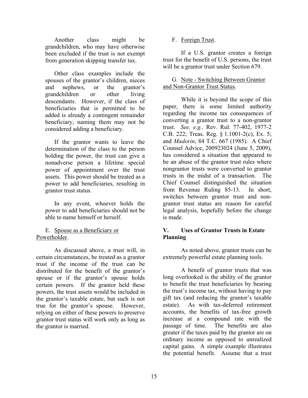Another class might be grandchildren, who may have otherwise been excluded if the trust is not exempt from generation skipping transfer tax.

Other class examples include the spouses of the grantor's children, nieces and nephews, or the grantor's grandchildren or other living descendants. However, if the class of beneficiaries that is permitted to be added is already a contingent remainder beneficiary, naming them may not be considered adding a beneficiary.

If the grantor wants to leave the determination of the class to the person holding the power, the trust can give a nonadverse person a lifetime special power of appointment over the trust assets. This power should be treated as a power to add beneficiaries, resulting in grantor trust status.

In any event, whoever holds the power to add beneficiaries should not be able to name himself or herself.

E. Spouse as a Beneficiary or Powerholder.

As discussed above, a trust will, in certain circumstances, be treated as a grantor trust if the income of the trust can be distributed for the benefit of the grantor's spouse or if the grantor's spouse holds certain powers. If the grantor held these powers, the trust assets would be included in the grantor's taxable estate, but such is not true for the grantor's spouse. However, relying on either of these powers to preserve grantor trust status will work only as long as the grantor is married.

#### F. Foreign Trust.

If a U.S. grantor creates a foreign trust for the benefit of U.S. persons, the trust will be a grantor trust under Section 679.

#### G. Note - Switching Between Grantor and Non-Grantor Trust Status.

While it is beyond the scope of this paper, there is some limited authority regarding the income tax consequences of converting a grantor trust to a non-grantor trust. *See, e.g.,* Rev. Rul. 77-402, 1977-2 C.B. 222; Treas. Reg. § 1.1001-2(c), Ex. 5; and *Madorin*, 84 T.C. 667 (1985). A Chief Counsel Advice, 200923024 (June 5, 2009), has considered a situation that appeared to be an abuse of the grantor trust rules where nongrantor trusts were converted to grantor trusts in the midst of a transaction. The Chief Counsel distinguished the situation from Revenue Ruling 85-13. In short, switches between grantor trust and nongrantor trust status are reason for careful legal analysis, hopefully before the change is made.

#### **V. Uses of Grantor Trusts in Estate Planning**

As noted above, grantor trusts can be extremely powerful estate planning tools.

A benefit of grantor trusts that was long overlooked is the ability of the grantor to benefit the trust beneficiaries by bearing the trust's income tax, without having to pay gift tax (and reducing the grantor's taxable estate). As with tax-deferred retirement accounts, the benefits of tax-free growth increase at a compound rate with the passage of time. The benefits are also greater if the taxes paid by the grantor are on ordinary income as opposed to unrealized capital gains. A simple example illustrates the potential benefit. Assume that a trust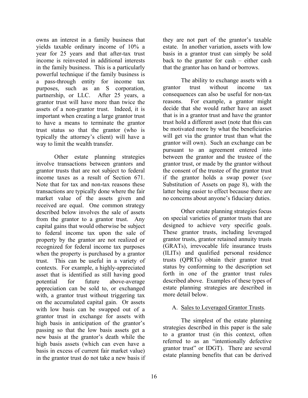owns an interest in a family business that yields taxable ordinary income of 10% a year for 25 years and that after-tax trust income is reinvested in additional interests in the family business. This is a particularly powerful technique if the family business is a pass-through entity for income tax purposes, such as an S corporation, partnership, or LLC. After 25 years, a grantor trust will have more than twice the assets of a non-grantor trust. Indeed, it is important when creating a large grantor trust to have a means to terminate the grantor trust status so that the grantor (who is typically the attorney's client) will have a way to limit the wealth transfer.

Other estate planning strategies involve transactions between grantors and grantor trusts that are not subject to federal income taxes as a result of Section 671. Note that for tax and non-tax reasons these transactions are typically done where the fair market value of the assets given and received are equal. One common strategy described below involves the sale of assets from the grantor to a grantor trust. Any capital gains that would otherwise be subject to federal income tax upon the sale of property by the grantor are not realized or recognized for federal income tax purposes when the property is purchased by a grantor trust. This can be useful in a variety of contexts. For example, a highly-appreciated asset that is identified as still having good potential for future above-average appreciation can be sold to, or exchanged with, a grantor trust without triggering tax on the accumulated capital gain. Or assets with low basis can be swapped out of a grantor trust in exchange for assets with high basis in anticipation of the grantor's passing so that the low basis assets get a new basis at the grantor's death while the high basis assets (which can even have a basis in excess of current fair market value) in the grantor trust do not take a new basis if they are not part of the grantor's taxable estate. In another variation, assets with low basis in a grantor trust can simply be sold back to the grantor for cash – either cash that the grantor has on hand or borrows.

The ability to exchange assets with a grantor trust without income tax consequences can also be useful for non-tax reasons. For example, a grantor might decide that she would rather have an asset that is in a grantor trust and have the grantor trust hold a different asset (note that this can be motivated more by what the beneficiaries will get via the grantor trust than what the grantor will own). Such an exchange can be pursuant to an agreement entered into between the grantor and the trustee of the grantor trust, or made by the grantor without the consent of the trustee of the grantor trust if the grantor holds a swap power (*see* Substitution of Assets on page 8), with the latter being easier to effect because there are no concerns about anyone's fiduciary duties.

Other estate planning strategies focus on special varieties of grantor trusts that are designed to achieve very specific goals. These grantor trusts, including leveraged grantor trusts, grantor retained annuity trusts (GRATs), irrevocable life insurance trusts (ILITs) and qualified personal residence trusts (QPRTs) obtain their grantor trust status by conforming to the description set forth in one of the grantor trust rules described above. Examples of these types of estate planning strategies are described in more detail below.

#### A. Sales to Leveraged Grantor Trusts.

The simplest of the estate planning strategies described in this paper is the sale to a grantor trust (in this context, often referred to as an "intentionally defective grantor trust" or IDGT). There are several estate planning benefits that can be derived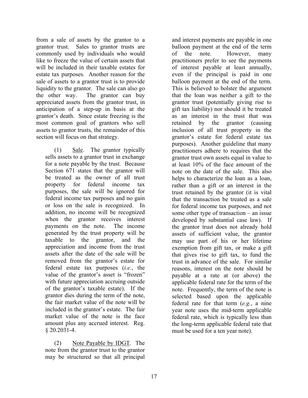from a sale of assets by the grantor to a grantor trust. Sales to grantor trusts are commonly used by individuals who would like to freeze the value of certain assets that will be included in their taxable estates for estate tax purposes. Another reason for the sale of assets to a grantor trust is to provide liquidity to the grantor. The sale can also go the other way. The grantor can buy appreciated assets from the grantor trust, in anticipation of a step-up in basis at the grantor's death. Since estate freezing is the most common goal of grantors who sell assets to grantor trusts, the remainder of this section will focus on that strategy.

(1) Sale. The grantor typically sells assets to a grantor trust in exchange for a note payable by the trust. Because Section 671 states that the grantor will be treated as the owner of all trust property for federal income tax purposes, the sale will be ignored for federal income tax purposes and no gain or loss on the sale is recognized. In addition, no income will be recognized when the grantor receives interest payments on the note. The income generated by the trust property will be taxable to the grantor, and the appreciation and income from the trust assets after the date of the sale will be removed from the grantor's estate for federal estate tax purposes (*i.e.*, the value of the grantor's asset is "frozen" with future appreciation accruing outside of the grantor's taxable estate). If the grantor dies during the term of the note, the fair market value of the note will be included in the grantor's estate. The fair market value of the note is the face amount plus any accrued interest. Reg. § 20.2031-4.

(2) Note Payable by IDGT. The note from the grantor trust to the grantor may be structured so that all principal

and interest payments are payable in one balloon payment at the end of the term of the note. However, many practitioners prefer to see the payments of interest payable at least annually, even if the principal is paid in one balloon payment at the end of the term. This is believed to bolster the argument that the loan was neither a gift to the grantor trust (potentially giving rise to gift tax liability) nor should it be treated as an interest in the trust that was retained by the grantor (causing inclusion of all trust property in the grantor's estate for federal estate tax purposes). Another guideline that many practitioners adhere to requires that the grantor trust own assets equal in value to at least 10% of the face amount of the note on the date of the sale. This also helps to characterize the loan as a loan, rather than a gift or an interest in the trust retained by the grantor (it is vital that the transaction be treated as a sale for federal income tax purposes, and not some other type of transaction – an issue developed by substantial case law). If the grantor trust does not already hold assets of sufficient value, the grantor may use part of his or her lifetime exemption from gift tax, or make a gift that gives rise to gift tax, to fund the trust in advance of the sale. For similar reasons, interest on the note should be payable at a rate at (or above) the applicable federal rate for the term of the note. Frequently, the term of the note is selected based upon the applicable federal rate for that term (*e.g.*, a nine year note uses the mid-term applicable federal rate, which is typically less than the long-term applicable federal rate that must be used for a ten year note).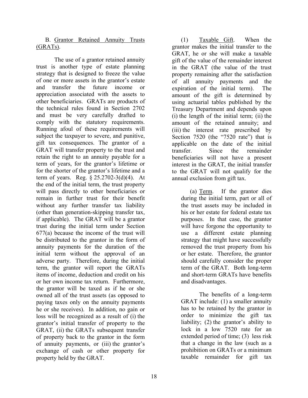B. Grantor Retained Annuity Trusts (GRATs).

The use of a grantor retained annuity trust is another type of estate planning strategy that is designed to freeze the value of one or more assets in the grantor's estate and transfer the future income or appreciation associated with the assets to other beneficiaries. GRATs are products of the technical rules found in Section 2702 and must be very carefully drafted to comply with the statutory requirements. Running afoul of these requirements will subject the taxpayer to severe, and punitive, gift tax consequences. The grantor of a GRAT will transfer property to the trust and retain the right to an annuity payable for a term of years, for the grantor's lifetime or for the shorter of the grantor's lifetime and a term of years. Reg. § 25.2702-3(d)(4). At the end of the initial term, the trust property will pass directly to other beneficiaries or remain in further trust for their benefit without any further transfer tax liability (other than generation-skipping transfer tax, if applicable). The GRAT will be a grantor trust during the initial term under Section 677(a) because the income of the trust will be distributed to the grantor in the form of annuity payments for the duration of the initial term without the approval of an adverse party. Therefore, during the initial term, the grantor will report the GRATs items of income, deduction and credit on his or her own income tax return. Furthermore, the grantor will be taxed as if he or she owned all of the trust assets (as opposed to paying taxes only on the annuity payments he or she receives). In addition, no gain or loss will be recognized as a result of (i) the grantor's initial transfer of property to the GRAT, (ii) the GRATs subsequent transfer of property back to the grantor in the form of annuity payments, or (iii) the grantor's exchange of cash or other property for property held by the GRAT.

(1) Taxable Gift. When the grantor makes the initial transfer to the GRAT, he or she will make a taxable gift of the value of the remainder interest in the GRAT (the value of the trust property remaining after the satisfaction of all annuity payments and the expiration of the initial term). The amount of the gift is determined by using actuarial tables published by the Treasury Department and depends upon (i) the length of the initial term; (ii) the amount of the retained annuity; and (iii) the interest rate prescribed by Section 7520 (the "7520 rate") that is applicable on the date of the initial transfer. Since the remainder beneficiaries will not have a present interest in the GRAT, the initial transfer to the GRAT will not qualify for the annual exclusion from gift tax.

(a) Term. If the grantor dies during the initial term, part or all of the trust assets may be included in his or her estate for federal estate tax purposes. In that case, the grantor will have forgone the opportunity to use a different estate planning strategy that might have successfully removed the trust property from his or her estate. Therefore, the grantor should carefully consider the proper term of the GRAT. Both long-term and short-term GRATs have benefits and disadvantages.

The benefits of a long-term GRAT include: (1) a smaller annuity has to be retained by the grantor in order to minimize the gift tax liability; (2) the grantor's ability to lock in a low 7520 rate for an extended period of time; (3) less risk that a change in the law (such as a prohibition on GRATs or a minimum taxable remainder for gift tax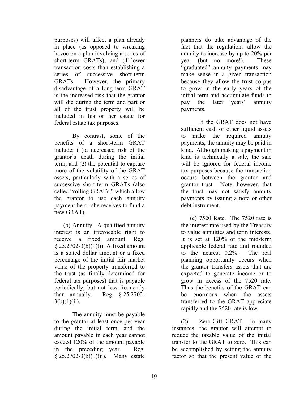purposes) will affect a plan already in place (as opposed to wreaking havoc on a plan involving a series of short-term GRATs); and (4) lower transaction costs than establishing a series of successive short-term GRATs. However, the primary disadvantage of a long-term GRAT is the increased risk that the grantor will die during the term and part or all of the trust property will be included in his or her estate for federal estate tax purposes.

By contrast, some of the benefits of a short-term GRAT include: (1) a decreased risk of the grantor's death during the initial term, and (2) the potential to capture more of the volatility of the GRAT assets, particularly with a series of successive short-term GRATs (also called "rolling GRATs," which allow the grantor to use each annuity payment he or she receives to fund a new GRAT).

(b) Annuity. A qualified annuity interest is an irrevocable right to receive a fixed amount. Reg. § 25.2702-3(b)(1)(i). A fixed amount is a stated dollar amount or a fixed percentage of the initial fair market value of the property transferred to the trust (as finally determined for federal tax purposes) that is payable periodically, but not less frequently than annually. Reg. § 25.2702-  $3(b)(1)(ii)$ .

The annuity must be payable to the grantor at least once per year during the initial term, and the amount payable in each year cannot exceed 120% of the amount payable in the preceding year. Reg. § 25.2702-3(b)(1)(ii). Many estate

planners do take advantage of the fact that the regulations allow the annuity to increase by up to 20% per year (but no more!). These "graduated" annuity payments may make sense in a given transaction because they allow the trust corpus to grow in the early years of the initial term and accumulate funds to pay the later years' annuity payments.

If the GRAT does not have sufficient cash or other liquid assets to make the required annuity payments, the annuity may be paid in kind. Although making a payment in kind is technically a sale, the sale will be ignored for federal income tax purposes because the transaction occurs between the grantor and grantor trust. Note, however, that the trust may not satisfy annuity payments by issuing a note or other debt instrument.

(c) 7520 Rate. The 7520 rate is the interest rate used by the Treasury to value annuities and term interests. It is set at 120% of the mid-term applicable federal rate and rounded to the nearest 0.2%. The real planning opportunity occurs when the grantor transfers assets that are expected to generate income or to grow in excess of the 7520 rate. Thus the benefits of the GRAT can be enormous when the assets transferred to the GRAT appreciate rapidly and the 7520 rate is low.

(2) Zero-Gift GRAT. In many instances, the grantor will attempt to reduce the taxable value of the initial transfer to the GRAT to zero. This can be accomplished by setting the annuity factor so that the present value of the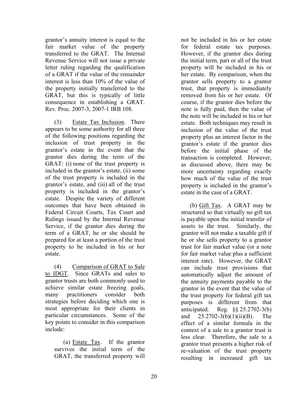grantor's annuity interest is equal to the fair market value of the property transferred to the GRAT. The Internal Revenue Service will not issue a private letter ruling regarding the qualification of a GRAT if the value of the remainder interest is less than 10% of the value of the property initially transferred to the GRAT, but this is typically of little consequence in establishing a GRAT. Rev. Proc. 2007-3, 2007-1 IRB 108.

(3) Estate Tax Inclusion. There appears to be some authority for all three of the following positions regarding the inclusion of trust property in the grantor's estate in the event that the grantor dies during the term of the GRAT: (i) none of the trust property is included in the grantor's estate, (ii) some of the trust property is included in the grantor's estate, and (iii) all of the trust property is included in the grantor's estate. Despite the variety of different outcomes that have been obtained in Federal Circuit Courts, Tax Court and Rulings issued by the Internal Revenue Service, if the grantor dies during the term of a GRAT, he or she should be prepared for at least a portion of the trust property to be included in his or her estate.

(4) Comparison of GRAT to Sale to IDGT. Since GRATs and sales to grantor trusts are both commonly used to achieve similar estate freezing goals, many practitioners consider both strategies before deciding which one is most appropriate for their clients in particular circumstances. Some of the key points to consider in this comparison include:

(a) Estate Tax. If the grantor survives the initial term of the GRAT, the transferred property will

not be included in his or her estate for federal estate tax purposes. However, if the grantor dies during the initial term, part or all of the trust property will be included in his or her estate. By comparison, when the grantor sells property to a grantor trust, that property is immediately removed from his or her estate. Of course, if the grantor dies before the note is fully paid, then the value of the note will be included in his or her estate. Both techniques may result in inclusion of the value of the trust property plus an interest factor in the grantor's estate if the grantor dies before the initial phase of the transaction is completed. However, as discussed above, there may be more uncertainty regarding exactly how much of the value of the trust property is included in the grantor's estate in the case of a GRAT.

(b) Gift Tax. A GRAT may be structured so that virtually no gift tax is payable upon the initial transfer of assets to the trust. Similarly, the grantor will not make a taxable gift if he or she sells property to a grantor trust for fair market value (or a note for fair market value plus a sufficient interest rate). However, the GRAT can include trust provisions that automatically adjust the amount of the annuity payments payable to the grantor in the event that the value of the trust property for federal gift tax purposes is different from that anticipated. Reg. §§ 25.2702-3(b) and 25.2702-3(b)(1)(ii)(B). The effect of a similar formula in the context of a sale to a grantor trust is less clear. Therefore, the sale to a grantor trust presents a higher risk of re-valuation of the trust property resulting in increased gift tax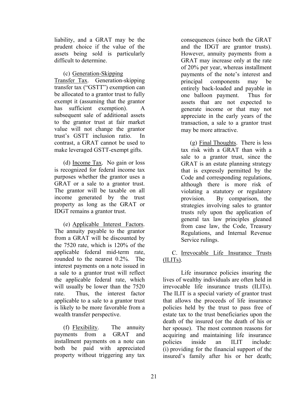liability, and a GRAT may be the prudent choice if the value of the assets being sold is particularly difficult to determine.

#### (c) Generation-Skipping

Transfer Tax. Generation-skipping transfer tax ("GSTT") exemption can be allocated to a grantor trust to fully exempt it (assuming that the grantor has sufficient exemption). A subsequent sale of additional assets to the grantor trust at fair market value will not change the grantor trust's GSTT inclusion ratio. In contrast, a GRAT cannot be used to make leveraged GSTT-exempt gifts.

(d) Income Tax. No gain or loss is recognized for federal income tax purposes whether the grantor uses a GRAT or a sale to a grantor trust. The grantor will be taxable on all income generated by the trust property as long as the GRAT or IDGT remains a grantor trust.

(e) Applicable Interest Factors. The annuity payable to the grantor from a GRAT will be discounted by the 7520 rate, which is 120% of the applicable federal mid-term rate, rounded to the nearest 0.2%. The interest payments on a note issued in a sale to a grantor trust will reflect the applicable federal rate, which will usually be lower than the 7520 rate. Thus, the interest factor applicable to a sale to a grantor trust is likely to be more favorable from a wealth transfer perspective.

(f) Flexibility. The annuity payments from a GRAT and installment payments on a note can both be paid with appreciated property without triggering any tax consequences (since both the GRAT and the IDGT are grantor trusts). However, annuity payments from a GRAT may increase only at the rate of 20% per year, whereas installment payments of the note's interest and principal components may be entirely back-loaded and payable in one balloon payment. Thus for assets that are not expected to generate income or that may not appreciate in the early years of the transaction, a sale to a grantor trust may be more attractive.

(g) Final Thoughts. There is less tax risk with a GRAT than with a sale to a grantor trust, since the GRAT is an estate planning strategy that is expressly permitted by the Code and corresponding regulations, although there is more risk of violating a statutory or regulatory provision. By comparison, the strategies involving sales to grantor trusts rely upon the application of general tax law principles gleaned from case law, the Code, Treasury Regulations, and Internal Revenue Service rulings.

#### C. Irrevocable Life Insurance Trusts (ILITs).

Life insurance policies insuring the lives of wealthy individuals are often held in irrevocable life insurance trusts (ILITs). The ILIT is a special variety of grantor trust that allows the proceeds of life insurance policies held by the trust to pass free of estate tax to the trust beneficiaries upon the death of the insured (or the death of his or her spouse). The most common reasons for acquiring and maintaining life insurance policies inside an ILIT include: (i) providing for the financial support of the insured's family after his or her death;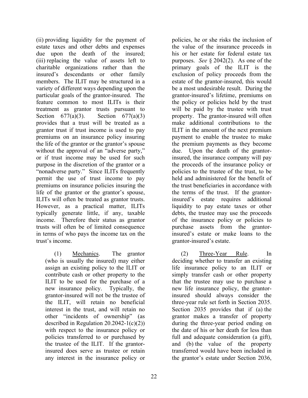(ii) providing liquidity for the payment of estate taxes and other debts and expenses due upon the death of the insured; (iii) replacing the value of assets left to charitable organizations rather than the insured's descendants or other family members. The ILIT may be structured in a variety of different ways depending upon the particular goals of the grantor-insured. The feature common to most ILITs is their treatment as grantor trusts pursuant to Section  $677(a)(3)$ . Section  $677(a)(3)$ provides that a trust will be treated as a grantor trust if trust income is used to pay premiums on an insurance policy insuring the life of the grantor or the grantor's spouse without the approval of an "adverse party," or if trust income may be used for such purpose in the discretion of the grantor or a "nonadverse party." Since ILITs frequently permit the use of trust income to pay premiums on insurance policies insuring the life of the grantor or the grantor's spouse, ILITs will often be treated as grantor trusts. However, as a practical matter, ILITs typically generate little, if any, taxable income. Therefore their status as grantor trusts will often be of limited consequence in terms of who pays the income tax on the trust's income.

(1) Mechanics. The grantor (who is usually the insured) may either assign an existing policy to the ILIT or contribute cash or other property to the ILIT to be used for the purchase of a new insurance policy. Typically, the grantor-insured will not be the trustee of the ILIT, will retain no beneficial interest in the trust, and will retain no other "incidents of ownership" (as described in Regulation 20.2042-1(c)(2)) with respect to the insurance policy or policies transferred to or purchased by the trustee of the ILIT. If the grantorinsured does serve as trustee or retain any interest in the insurance policy or

policies, he or she risks the inclusion of the value of the insurance proceeds in his or her estate for federal estate tax purposes. *See* § 2042(2). As one of the primary goals of the ILIT is the exclusion of policy proceeds from the estate of the grantor-insured, this would be a most undesirable result. During the grantor-insured's lifetime, premiums on the policy or policies held by the trust will be paid by the trustee with trust property. The grantor-insured will often make additional contributions to the ILIT in the amount of the next premium payment to enable the trustee to make the premium payments as they become due. Upon the death of the grantorinsured, the insurance company will pay the proceeds of the insurance policy or policies to the trustee of the trust, to be held and administered for the benefit of the trust beneficiaries in accordance with the terms of the trust. If the grantorinsured's estate requires additional liquidity to pay estate taxes or other debts, the trustee may use the proceeds of the insurance policy or policies to purchase assets from the grantorinsured's estate or make loans to the grantor-insured's estate.

(2) Three-Year Rule. In deciding whether to transfer an existing life insurance policy to an ILIT or simply transfer cash or other property that the trustee may use to purchase a new life insurance policy, the grantorinsured should always consider the three-year rule set forth in Section 2035. Section 2035 provides that if (a) the grantor makes a transfer of property during the three-year period ending on the date of his or her death for less than full and adequate consideration (a gift), and (b) the value of the property transferred would have been included in the grantor's estate under Section 2036,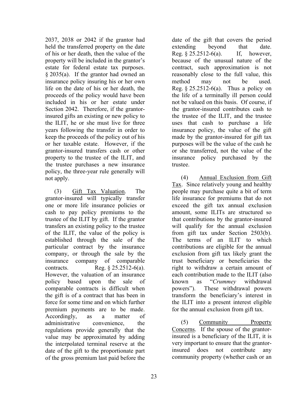2037, 2038 or 2042 if the grantor had held the transferred property on the date of his or her death, then the value of the property will be included in the grantor's estate for federal estate tax purposes. § 2035(a). If the grantor had owned an insurance policy insuring his or her own life on the date of his or her death, the proceeds of the policy would have been included in his or her estate under Section 2042. Therefore, if the grantorinsured gifts an existing or new policy to the ILIT, he or she must live for three years following the transfer in order to keep the proceeds of the policy out of his or her taxable estate. However, if the grantor-insured transfers cash or other property to the trustee of the ILIT, and the trustee purchases a new insurance policy, the three-year rule generally will not apply.

(3) Gift Tax Valuation. The grantor-insured will typically transfer one or more life insurance policies or cash to pay policy premiums to the trustee of the ILIT by gift. If the grantor transfers an existing policy to the trustee of the ILIT, the value of the policy is established through the sale of the particular contract by the insurance company, or through the sale by the insurance company of comparable contracts. Reg. § 25.2512-6(a). However, the valuation of an insurance policy based upon the sale of comparable contracts is difficult when the gift is of a contract that has been in force for some time and on which further premium payments are to be made. Accordingly, as a matter of administrative convenience, the regulations provide generally that the value may be approximated by adding the interpolated terminal reserve at the date of the gift to the proportionate part of the gross premium last paid before the

date of the gift that covers the period extending beyond that date. Reg. § 25.2512-6(a). If, however, because of the unusual nature of the contract, such approximation is not reasonably close to the full value, this method may not be used. Reg.  $\S 25.2512-6(a)$ . Thus a policy on the life of a terminally ill person could not be valued on this basis. Of course, if the grantor-insured contributes cash to the trustee of the ILIT, and the trustee uses that cash to purchase a life insurance policy, the value of the gift made by the grantor-insured for gift tax purposes will be the value of the cash he or she transferred, not the value of the insurance policy purchased by the trustee.

(4) Annual Exclusion from Gift Tax. Since relatively young and healthy people may purchase quite a bit of term life insurance for premiums that do not exceed the gift tax annual exclusion amount, some ILITs are structured so that contributions by the grantor-insured will qualify for the annual exclusion from gift tax under Section 2503(b). The terms of an ILIT to which contributions are eligible for the annual exclusion from gift tax likely grant the trust beneficiary or beneficiaries the right to withdraw a certain amount of each contribution made to the ILIT (also known as "*Crummey* withdrawal powers"). These withdrawal powers transform the beneficiary's interest in the ILIT into a present interest eligible for the annual exclusion from gift tax.

(5) Community Property Concerns. If the spouse of the grantorinsured is a beneficiary of the ILIT, it is very important to ensure that the grantorinsured does not contribute any community property (whether cash or an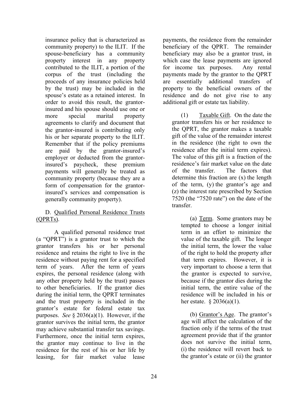insurance policy that is characterized as community property) to the ILIT. If the spouse-beneficiary has a community property interest in any property contributed to the ILIT, a portion of the corpus of the trust (including the proceeds of any insurance policies held by the trust) may be included in the spouse's estate as a retained interest. In order to avoid this result, the grantorinsured and his spouse should use one or more special marital property agreements to clarify and document that the grantor-insured is contributing only his or her separate property to the ILIT. Remember that if the policy premiums are paid by the grantor-insured's employer or deducted from the grantorinsured's paycheck, these premium payments will generally be treated as community property (because they are a form of compensation for the grantorinsured's services and compensation is generally community property).

#### D. Qualified Personal Residence Trusts (QPRTs).

A qualified personal residence trust (a "QPRT") is a grantor trust to which the grantor transfers his or her personal residence and retains the right to live in the residence without paying rent for a specified term of years. After the term of years expires, the personal residence (along with any other property held by the trust) passes to other beneficiaries. If the grantor dies during the initial term, the QPRT terminates and the trust property is included in the grantor's estate for federal estate tax purposes. *See* § 2036(a)(1). However, if the grantor survives the initial term, the grantor may achieve substantial transfer tax savings. Furthermore, once the initial term expires, the grantor may continue to live in the residence for the rest of his or her life by leasing, for fair market value lease

payments, the residence from the remainder beneficiary of the QPRT. The remainder beneficiary may also be a grantor trust, in which case the lease payments are ignored for income tax purposes. Any rental payments made by the grantor to the QPRT are essentially additional transfers of property to the beneficial owners of the residence and do not give rise to any additional gift or estate tax liability.

(1) Taxable Gift. On the date the grantor transfers his or her residence to the QPRT, the grantor makes a taxable gift of the value of the remainder interest in the residence (the right to own the residence after the initial term expires). The value of this gift is a fraction of the residence's fair market value on the date of the transfer. The factors that determine this fraction are (x) the length of the term, (y) the grantor's age and (z) the interest rate prescribed by Section 7520 (the "7520 rate") on the date of the transfer.

(a) Term. Some grantors may be tempted to choose a longer initial term in an effort to minimize the value of the taxable gift. The longer the initial term, the lower the value of the right to hold the property after that term expires. However, it is very important to choose a term that the grantor is expected to survive, because if the grantor dies during the initial term, the entire value of the residence will be included in his or her estate.  $\frac{2036(a)(1)}{2036(a)}$ .

(b) Grantor's Age. The grantor's age will affect the calculation of the fraction only if the terms of the trust agreement provide that if the grantor does not survive the initial term, (i) the residence will revert back to the grantor's estate or (ii) the grantor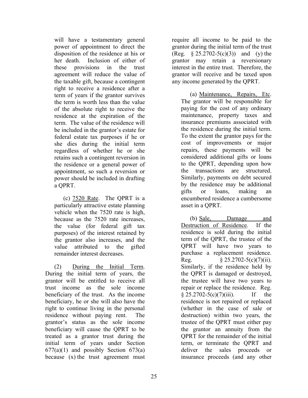will have a testamentary general power of appointment to direct the disposition of the residence at his or her death. Inclusion of either of these provisions in the trust agreement will reduce the value of the taxable gift, because a contingent right to receive a residence after a term of years if the grantor survives the term is worth less than the value of the absolute right to receive the residence at the expiration of the term. The value of the residence will be included in the grantor's estate for federal estate tax purposes if he or she dies during the initial term regardless of whether he or she retains such a contingent reversion in the residence or a general power of appointment, so such a reversion or power should be included in drafting a QPRT.

(c) 7520 Rate. The QPRT is a particularly attractive estate planning vehicle when the 7520 rate is high, because as the 7520 rate increases, the value (for federal gift tax purposes) of the interest retained by the grantor also increases, and the value attributed to the gifted remainder interest decreases.

(2) During the Initial Term. During the initial term of years, the grantor will be entitled to receive all trust income as the sole income beneficiary of the trust. As the income beneficiary, he or she will also have the right to continue living in the personal residence without paying rent. The grantor's status as the sole income beneficiary will cause the QPRT to be treated as a grantor trust during the initial term of years under Section  $677(a)(1)$  and possibly Section  $673(a)$ because  $(x)$  the trust agreement must

require all income to be paid to the grantor during the initial term of the trust (Reg.  $§ 25.2702-5(c)(3)$ ) and (y) the grantor may retain a reversionary interest in the entire trust. Therefore, the grantor will receive and be taxed upon any income generated by the QPRT.

(a) Maintenance, Repairs, Etc. The grantor will be responsible for paying for the cost of any ordinary maintenance, property taxes and insurance premiums associated with the residence during the initial term. To the extent the grantor pays for the cost of improvements or major repairs, these payments will be considered additional gifts or loans to the QPRT, depending upon how the transactions are structured. Similarly, payments on debt secured by the residence may be additional gifts or loans, making an encumbered residence a cumbersome asset in a QPRT.

(b) Sale, Damage and Destruction of Residence. If the residence is sold during the initial term of the QPRT, the trustee of the QPRT will have two years to purchase a replacement residence. Reg.  $§ 25.2702-5(c)(7)(ii).$ Similarly, if the residence held by the QPRT is damaged or destroyed, the trustee will have two years to repair or replace the residence. Reg.  $§ 25.2702-5(c)(7)(iii)$ . If the residence is not repaired or replaced (whether in the case of sale or destruction) within two years, the trustee of the QPRT must either pay the grantor an annuity from the QPRT for the remainder of the initial term, or terminate the QPRT and deliver the sales proceeds or insurance proceeds (and any other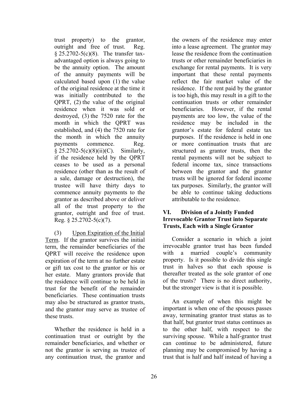trust property) to the grantor, outright and free of trust. Reg. § 25.2702-5(c)(8). The transfer taxadvantaged option is always going to be the annuity option. The amount of the annuity payments will be calculated based upon (1) the value of the original residence at the time it was initially contributed to the QPRT, (2) the value of the original residence when it was sold or destroyed, (3) the 7520 rate for the month in which the QPRT was established, and (4) the 7520 rate for the month in which the annuity payments commence. Reg. § 25.2702-5(c)(8)(ii)(C). Similarly, if the residence held by the QPRT ceases to be used as a personal residence (other than as the result of a sale, damage or destruction), the trustee will have thirty days to commence annuity payments to the grantor as described above or deliver all of the trust property to the grantor, outright and free of trust. Reg. § 25.2702-5(c)(7).

(3) Upon Expiration of the Initial Term. If the grantor survives the initial term, the remainder beneficiaries of the QPRT will receive the residence upon expiration of the term at no further estate or gift tax cost to the grantor or his or her estate. Many grantors provide that the residence will continue to be held in trust for the benefit of the remainder beneficiaries. These continuation trusts may also be structured as grantor trusts, and the grantor may serve as trustee of these trusts.

Whether the residence is held in a continuation trust or outright by the remainder beneficiaries, and whether or not the grantor is serving as trustee of any continuation trust, the grantor and

the owners of the residence may enter into a lease agreement. The grantor may lease the residence from the continuation trusts or other remainder beneficiaries in exchange for rental payments. It is very important that these rental payments reflect the fair market value of the residence. If the rent paid by the grantor is too high, this may result in a gift to the continuation trusts or other remainder beneficiaries. However, if the rental payments are too low, the value of the residence may be included in the grantor's estate for federal estate tax purposes. If the residence is held in one or more continuation trusts that are structured as grantor trusts, then the rental payments will not be subject to federal income tax, since transactions between the grantor and the grantor trusts will be ignored for federal income tax purposes. Similarly, the grantor will be able to continue taking deductions attributable to the residence.

#### **VI. Division of a Jointly Funded Irrevocable Grantor Trust into Separate Trusts, Each with a Single Grantor**

Consider a scenario in which a joint irrevocable grantor trust has been funded with a married couple's community property. Is it possible to divide this single trust in halves so that each spouse is thereafter treated as the sole grantor of one of the trusts? There is no direct authority, but the stronger view is that it is possible.

An example of when this might be important is when one of the spouses passes away, terminating grantor trust status as to that half, but grantor trust status continues as to the other half, with respect to the surviving spouse. While a half-grantor trust can continue to be administered, future planning may be compromised by having a trust that is half and half instead of having a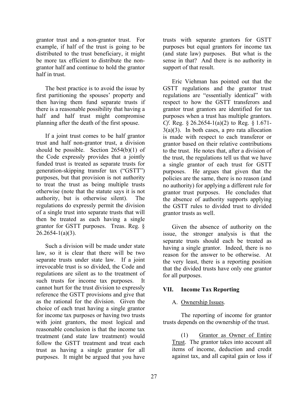grantor trust and a non-grantor trust. For example, if half of the trust is going to be distributed to the trust beneficiary, it might be more tax efficient to distribute the nongrantor half and continue to hold the grantor half in trust.

The best practice is to avoid the issue by first partitioning the spouses' property and then having them fund separate trusts if there is a reasonable possibility that having a half and half trust might compromise planning after the death of the first spouse.

If a joint trust comes to be half grantor trust and half non-grantor trust, a division should be possible. Section 2654(b)(1) of the Code expressly provides that a jointly funded trust is treated as separate trusts for generation-skipping transfer tax ("GSTT") purposes, but that provision is not authority to treat the trust as being multiple trusts otherwise (note that the statute says it is not authority, but is otherwise silent). The regulations do expressly permit the division of a single trust into separate trusts that will then be treated as each having a single grantor for GSTT purposes. Treas. Reg. §  $26.2654 - 1(a)(3)$ .

Such a division will be made under state law, so it is clear that there will be two separate trusts under state law. If a joint irrevocable trust is so divided, the Code and regulations are silent as to the treatment of such trusts for income tax purposes. It cannot hurt for the trust division to expressly reference the GSTT provisions and give that as the rational for the division. Given the choice of each trust having a single grantor for income tax purposes or having two trusts with joint grantors, the most logical and reasonable conclusion is that the income tax treatment (and state law treatment) would follow the GSTT treatment and treat each trust as having a single grantor for all purposes. It might be argued that you have

trusts with separate grantors for GSTT purposes but equal grantors for income tax (and state law) purposes. But what is the sense in that? And there is no authority in support of that result.

Eric Viehman has pointed out that the GSTT regulations and the grantor trust regulations are "essentially identical" with respect to how the GSTT transferors and grantor trust grantors are identified for tax purposes when a trust has multiple grantors. *Cf*. Reg. § 26.2654-1(a)(2) to Reg. § 1.671-  $3(a)(3)$ . In both cases, a pro rata allocation is made with respect to each transferor or grantor based on their relative contributions to the trust. He notes that, after a division of the trust, the regulations tell us that we have a single grantor of each trust for GSTT purposes. He argues that given that the policies are the same, there is no reason (and no authority) for applying a different rule for grantor trust purposes. He concludes that the absence of authority supports applying the GSTT rules to divided trust to divided grantor trusts as well.

Given the absence of authority on the issue, the stronger analysis is that the separate trusts should each be treated as having a single grantor. Indeed, there is no reason for the answer to be otherwise. At the very least, there is a reporting position that the divided trusts have only one grantor for all purposes.

#### **VII. Income Tax Reporting**

#### A. Ownership Issues.

The reporting of income for grantor trusts depends on the ownership of the trust.

(1) Grantor as Owner of Entire Trust. The grantor takes into account all items of income, deduction and credit against tax, and all capital gain or loss if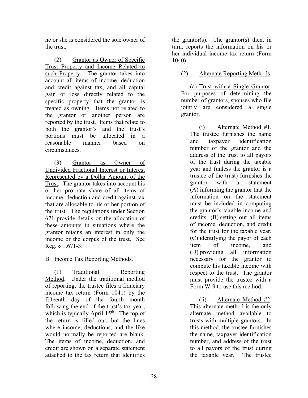he or she is considered the sole owner of the trust.

(2) Grantor as Owner of Specific Trust Property and Income Related to such Property. The grantor takes into account all items of income, deduction and credit against tax, and all capital gain or loss directly related to the specific property that the grantor is treated as owning. Items not related to the grantor or another person are reported by the trust. Items that relate to both the grantor's and the trust's portions must be allocated in a reasonable manner based on circumstances.

(3) Grantor as Owner of Undivided Fractional Interest or Interest Represented by a Dollar Amount of the Trust. The grantor takes into account his or her pro rata share of all items of income, deduction and credit against tax that are allocable to his or her portion of the trust. The regulations under Section 671 provide details on the allocation of these amounts in situations where the grantor retains an interest in only the income or the corpus of the trust. See Reg. § 1.671-3.

B. Income Tax Reporting Methods.

(1) Traditional Reporting Method. Under the traditional method of reporting, the trustee files a fiduciary income tax return (Form 1041) by the fifteenth day of the fourth month following the end of the trust's tax year, which is typically April  $15<sup>th</sup>$ . The top of the return is filled out, but the lines where income, deductions, and the like would normally be reported are blank. The items of income, deduction, and credit are shown on a separate statement attached to the tax return that identifies

the grantor(s). The grantor(s) then, in turn, reports the information on his or her individual income tax return (Form 1040).

#### (2) Alternate Reporting Methods

(a) Trust with a Single Grantor. For purposes of determining the number of grantors, spouses who file jointly are considered a single grantor.

> (i) Alternate Method #1. The trustee furnishes the name and taxpayer identification number of the grantor and the address of the trust to all payors of the trust during the taxable year and (unless the grantor is a trustee of the trust) furnishes the grantor with a statement (A) informing the grantor that the information on the statement must be included in computing the grantor's taxable income and credits, (B) setting out all items of income, deduction, and credit for the trust for the taxable year, (C) identifying the payor of each item of income, and (D) providing all information necessary for the grantor to compute his taxable income with respect to the trust. The grantor must provide the trustee with a Form W-9 to use this method.

> (ii) Alternate Method #2. This alternate method is the only alternate method available to trusts with multiple grantors. In this method, the trustee furnishes the name, taxpayer identification number, and address of the trust to all payors of the trust during the taxable year. The trustee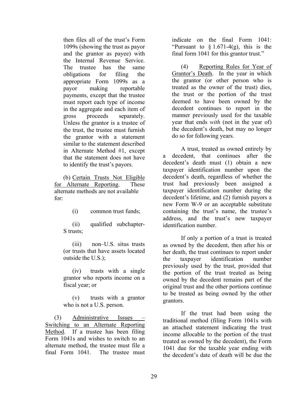then files all of the trust's Form 1099s (showing the trust as payor and the grantor as payee) with the Internal Revenue Service. The trustee has the same obligations for filing the appropriate Form 1099s as a payor making reportable payments, except that the trustee must report each type of income in the aggregate and each item of gross proceeds separately. Unless the grantor is a trustee of the trust, the trustee must furnish the grantor with a statement similar to the statement described in Alternate Method #1, except that the statement does not have to identify the trust's payors.

(b) Certain Trusts Not Eligible for Alternate Reporting. These alternate methods are not available for:

(i) common trust funds;

(ii) qualified subchapter-S trusts;

(iii) non–U.S. situs trusts (or trusts that have assets located outside the U.S.);

(iv) trusts with a single grantor who reports income on a fiscal year; or

(v) trusts with a grantor who is not a U.S. person.

(3) Administrative Issues – Switching to an Alternate Reporting Method. If a trustee has been filing Form 1041s and wishes to switch to an alternate method, the trustee must file a final Form 1041. The trustee must

indicate on the final Form 1041: "Pursuant to  $\S 1.671-4(g)$ , this is the final form 1041 for this grantor trust."

(4) Reporting Rules for Year of Grantor's Death. In the year in which the grantor (or other person who is treated as the owner of the trust) dies, the trust or the portion of the trust deemed to have been owned by the decedent continues to report in the manner previously used for the taxable year that ends *with* (not in the year of) the decedent's death, but may no longer do so for following years.

A trust, treated as owned entirely by a decedent, that continues after the decedent's death must (1) obtain a new taxpayer identification number upon the decedent's death, regardless of whether the trust had previously been assigned a taxpayer identification number during the decedent's lifetime, and (2) furnish payors a new Form W-9 or an acceptable substitute containing the trust's name, the trustee's address, and the trust's new taxpayer identification number.

If only a portion of a trust is treated as owned by the decedent, then after his or her death, the trust continues to report under the taxpayer identification number previously used by the trust, provided that the portion of the trust treated as being owned by the decedent remains part of the original trust and the other portions continue to be treated as being owned by the other grantors.

If the trust had been using the traditional method (filing Form 1041s with an attached statement indicating the trust income allocable to the portion of the trust treated as owned by the decedent), the Form 1041 due for the taxable year ending with the decedent's date of death will be due the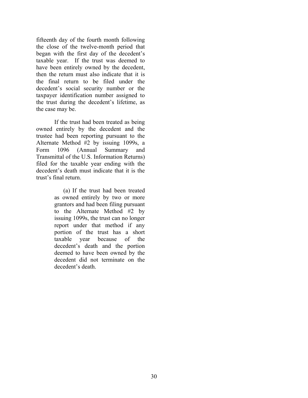fifteenth day of the fourth month following the close of the twelve-month period that began with the first day of the decedent's taxable year. If the trust was deemed to have been entirely owned by the decedent, then the return must also indicate that it is the final return to be filed under the decedent's social security number or the taxpayer identification number assigned to the trust during the decedent's lifetime, as the case may be.

If the trust had been treated as being owned entirely by the decedent and the trustee had been reporting pursuant to the Alternate Method #2 by issuing 1099s, a Form 1096 (Annual Summary and Transmittal of the U.S. Information Returns) filed for the taxable year ending with the decedent's death must indicate that it is the trust's final return.

> (a) If the trust had been treated as owned entirely by two or more grantors and had been filing pursuant to the Alternate Method #2 by issuing 1099s, the trust can no longer report under that method if any portion of the trust has a short taxable year because of the decedent's death and the portion deemed to have been owned by the decedent did not terminate on the decedent's death.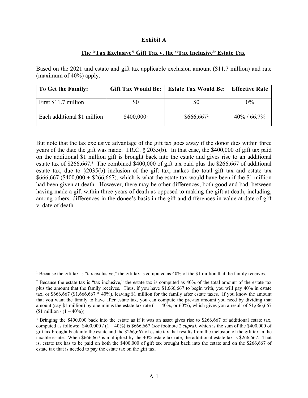#### **Exhibit A**

#### **The "Tax Exclusive" Gift Tax v. the "Tax Inclusive" Estate Tax**

Based on the 2021 and estate and gift tax applicable exclusion amount (\$11.7 million) and rate (maximum of 40%) apply.

| To Get the Family:          | <b>Gift Tax Would Be:</b> | Estate Tax Would Be: | <b>Effective Rate</b> |
|-----------------------------|---------------------------|----------------------|-----------------------|
| First \$11.7 million        | \$0                       | \$0                  | $0\%$                 |
| Each additional \$1 million | \$400,000                 | $$666,667^2$         | $40\% / 66.7\%$       |

But note that the tax exclusive advantage of the gift tax goes away if the donor dies within three years of the date the gift was made. I.R.C. § 2035(b). In that case, the \$400,000 of gift tax paid on the additional \$1 million gift is brought back into the estate and gives rise to an additional estate tax of \$266,667.<sup>3</sup> The combined \$400,000 of gift tax paid plus the \$266,667 of additional estate tax, due to §2035(b) inclusion of the gift tax, makes the total gift tax and estate tax  $$666,667$  (\$400,000 + \$266,667), which is what the estate tax would have been if the \$1 million had been given at death. However, there may be other differences, both good and bad, between having made a gift within three years of death as opposed to making the gift at death, including, among others, differences in the donee's basis in the gift and differences in value at date of gift v. date of death.

 $\overline{a}$ 

<sup>&</sup>lt;sup>1</sup> Because the gift tax is "tax exclusive," the gift tax is computed as  $40\%$  of the \$1 million that the family receives.

<sup>&</sup>lt;sup>2</sup> Because the estate tax is "tax inclusive," the estate tax is computed as  $40\%$  of the total amount of the estate tax plus the amount that the family receives. Thus, if you have \$1,666,667 to begin with, you will pay 40% in estate tax, or \$666,667 (\$1,666,667 \* 40%), leaving \$1 million for the family after estate taxes. If you know the amount that you want the family to have after estate tax, you can compute the pre-tax amount you need by dividing that amount (say \$1 million) by one minus the estate tax rate  $(1 - 40\% )$ , or 60%), which gives you a result of \$1,666,667 (\$1 million /  $(1 - 40\%)$ ).

<sup>&</sup>lt;sup>3</sup> Bringing the \$400,000 back into the estate as if it was an asset gives rise to \$266,667 of additional estate tax, computed as follows: \$400,000 / (1 – 40%) is \$666,667 (*see* footnote 2 *supra)*, which is the sum of the \$400,000 of gift tax brought back into the estate and the \$266,667 of estate tax that results from the inclusion of the gift tax in the taxable estate. When \$666,667 is multiplied by the 40% estate tax rate, the additional estate tax is \$266,667. That is, estate tax has to be paid on both the \$400,000 of gift tax brought back into the estate and on the \$266,667 of estate tax that is needed to pay the estate tax on the gift tax.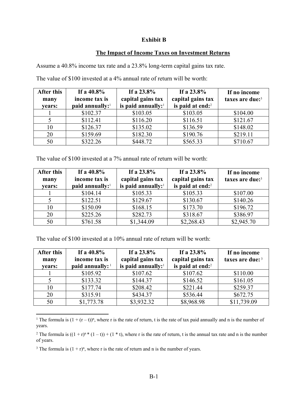#### **Exhibit B**

#### **The Impact of Income Taxes on Investment Returns**

Assume a 40.8% income tax rate and a 23.8% long-term capital gains tax rate.

| After this<br>many<br>vears: | If a $40.8\%$<br>income tax is<br>paid annually: <sup>1</sup> | If a $23.8\%$<br>capital gains tax<br>is paid annually: <sup>1</sup> | If a $23.8\%$<br>capital gains tax<br>is paid at end: <sup>2</sup> | If no income<br>taxes are due: <sup>3</sup> |
|------------------------------|---------------------------------------------------------------|----------------------------------------------------------------------|--------------------------------------------------------------------|---------------------------------------------|
|                              | \$102.37                                                      | \$103.05                                                             | \$103.05                                                           | \$104.00                                    |
|                              | \$112.41                                                      | \$116.20                                                             | \$116.51                                                           | \$121.67                                    |
| 10                           | \$126.37                                                      | \$135.02                                                             | \$136.59                                                           | \$148.02                                    |
| 20                           | \$159.69                                                      | \$182.30                                                             | \$190.76                                                           | \$219.11                                    |
| 50                           | \$322.26                                                      | \$448.72                                                             | \$565.33                                                           | \$710.67                                    |

The value of \$100 invested at a 4% annual rate of return will be worth:

The value of \$100 invested at a 7% annual rate of return will be worth:

| After this<br>many<br>vears: | If a $40.8\%$<br>income tax is<br>paid annually: <sup>1</sup> | If a $23.8\%$<br>capital gains tax<br>is paid annually: $1$ | If a $23.8\%$<br>capital gains tax<br>is paid at end: <sup>2</sup> | If no income<br>taxes are due: <sup>3</sup> |
|------------------------------|---------------------------------------------------------------|-------------------------------------------------------------|--------------------------------------------------------------------|---------------------------------------------|
|                              | \$104.14                                                      | \$105.33                                                    | \$105.33                                                           | \$107.00                                    |
|                              | \$122.51                                                      | \$129.67                                                    | \$130.67                                                           | \$140.26                                    |
| 10                           | \$150.09                                                      | \$168.15                                                    | \$173.70                                                           | \$196.72                                    |
| 20                           | \$225.26                                                      | \$282.73                                                    | \$318.67                                                           | \$386.97                                    |
| 50                           | \$761.58                                                      | \$1,344.09                                                  | \$2,268.43                                                         | \$2,945.70                                  |

The value of \$100 invested at a 10% annual rate of return will be worth:

| After this<br>many<br>vears: | If a $40.8\%$<br>income tax is<br>paid annually: 1 | If a $23.8\%$<br>capital gains tax<br>is paid annually: <sup>1</sup> | If a $23.8\%$<br>capital gains tax<br>is paid at end: <sup>2</sup> | If no income<br>taxes are due: 3 |
|------------------------------|----------------------------------------------------|----------------------------------------------------------------------|--------------------------------------------------------------------|----------------------------------|
|                              | \$105.92                                           | \$107.62                                                             | \$107.62                                                           | \$110.00                         |
|                              | \$133.32                                           | \$144.37                                                             | \$146.52                                                           | \$161.05                         |
| 10                           | \$177.74                                           | \$208.42                                                             | \$221.44                                                           | \$259.37                         |
| 20                           | \$315.91                                           | \$434.37                                                             | \$536.44                                                           | \$672.75                         |
| 50                           | \$1,773.78                                         | \$3,932.32                                                           | \$8,968.98                                                         | \$11,739.09                      |

 $\overline{a}$ <sup>1</sup> The formula is  $(1 + (r - t))^n$ , where r is the rate of return, t is the rate of tax paid annually and n is the number of years.

<sup>2</sup> The formula is  $((1 + r)^n * (1 - t)) + (1 * t)$ , where r is the rate of return, t is the annual tax rate and n is the number of years.

<sup>3</sup> The formula is  $(1 + r)^n$ , where r is the rate of return and n is the number of years.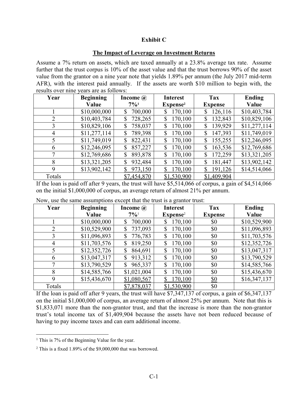#### **Exhibit C**

#### **The Impact of Leverage on Investment Returns**

Assume a 7% return on assets, which are taxed annually at a 23.8% average tax rate. Assume further that the trust corpus is 10% of the asset value and that the trust borrows 90% of the asset value from the grantor on a nine year note that yields 1.89% per annum (the July 2017 mid-term AFR), with the interest paid annually. If the assets are worth \$10 million to begin with, the results over nine years are as follows:

| Year           | <b>Beginning</b> | Income $\omega$ | <b>Interest</b>      | Tax            | <b>Ending</b> |
|----------------|------------------|-----------------|----------------------|----------------|---------------|
|                | Value            | $7\%1$          | Expense <sup>2</sup> | <b>Expense</b> | Value         |
|                | \$10,000,000     | 700,000<br>\$   | 170,100<br>\$        | 126,116<br>\$  | \$10,403,784  |
| 2              | \$10,403,784     | 728,265<br>\$   | 170,100              | \$<br>132,843  | \$10,829,106  |
| 3              | \$10,829,106     | 758,037<br>\$   | 170,100<br>\$        | 139,929<br>\$  | \$11,277,114  |
| $\overline{4}$ | \$11,277,114     | 789,398<br>\$   | 170,100<br>\$        | 147,393<br>\$  | \$11,749,019  |
| 5              | \$11,749,019     | 822,431<br>\$   | 170,100<br>\$        | 155,255<br>\$  | \$12,246,095  |
| 6              | \$12,246,095     | 857,227<br>\$   | 170,100<br>\$        | \$<br>163,536  | \$12,769,686  |
| 7              | \$12,769,686     | 893,878<br>\$   | 170,100<br>\$        | \$<br>172,259  | \$13,321,205  |
| 8              | \$13,321,205     | 932,484<br>\$   | 170,100<br>\$        | \$<br>181,447  | \$13,902,142  |
| 9              | \$13,902,142     | 973,150<br>\$   | 170,100              | \$<br>191,126  | \$14,514,066  |
| Totals         |                  | \$7,454,870     | \$1,530,900          | \$1,409,904    |               |

If the loan is paid off after 9 years, the trust will have \$5,514,066 of corpus, a gain of \$4,514,066 on the initial \$1,000,000 of corpus, an average return of almost 21% per annum.

| Year           | <b>Beginning</b> | Income $\omega$    | <b>Interest</b>      | Tax            | <b>Ending</b> |
|----------------|------------------|--------------------|----------------------|----------------|---------------|
|                | Value            | $7\%$ <sup>1</sup> | Expense <sup>2</sup> | <b>Expense</b> | Value         |
|                | \$10,000,000     | \$<br>700,000      | 170,100              | \$0            | \$10,529,900  |
| $\overline{2}$ | \$10,529,900     | 737,093<br>\$      | 170,100              | \$0            | \$11,096,893  |
| 3              | \$11,096,893     | 776,783<br>\$      | 170,100              | \$0            | \$11,703,576  |
| 4              | \$11,703,576     | 819,250<br>\$      | 170,100              | \$0            | \$12,352,726  |
|                | \$12,352,726     | 864,691<br>\$      | 170,100              | \$0            | \$13,047,317  |
| 6              | \$13,047,317     | 913,312<br>\$      | 170,100              | \$0            | \$13,790,529  |
|                | \$13,790,529     | 965,337<br>\$      | 170,100              | \$0            | \$14,585,766  |
| 8              | \$14,585,766     | \$1,021,004        | 170,100              | \$0            | \$15,436,670  |
| 9              | \$15,436,670     | \$1,080,567        | 170,100              | \$0            | \$16,347,137  |
| Totals         |                  | \$7,878,037        | \$1,530,900          | \$0            |               |

Now, use the same assumptions except that the trust is a grantor trust:

If the loan is paid off after 9 years, the trust will have \$7,347,137 of corpus, a gain of \$6,347,137 on the initial \$1,000,000 of corpus, an average return of almost 25% per annum. Note that this is \$1,833,071 more than the non-grantor trust, and that the increase is more than the non-grantor trust's total income tax of \$1,409,904 because the assets have not been reduced because of having to pay income taxes and can earn additional income.

 $\overline{a}$ 

<sup>&</sup>lt;sup>1</sup> This is 7% of the Beginning Value for the year.

<sup>&</sup>lt;sup>2</sup> This is a fixed 1.89% of the \$9,000,000 that was borrowed.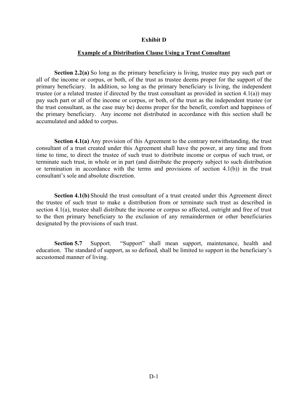#### **Exhibit D**

#### **Example of a Distribution Clause Using a Trust Consultant**

**Section 2.2(a)** So long as the primary beneficiary is living, trustee may pay such part or all of the income or corpus, or both, of the trust as trustee deems proper for the support of the primary beneficiary. In addition, so long as the primary beneficiary is living, the independent trustee (or a related trustee if directed by the trust consultant as provided in section 4.1(a)) may pay such part or all of the income or corpus, or both, of the trust as the independent trustee (or the trust consultant, as the case may be) deems proper for the benefit, comfort and happiness of the primary beneficiary. Any income not distributed in accordance with this section shall be accumulated and added to corpus.

**Section 4.1(a)** Any provision of this Agreement to the contrary notwithstanding, the trust consultant of a trust created under this Agreement shall have the power, at any time and from time to time, to direct the trustee of such trust to distribute income or corpus of such trust, or terminate such trust, in whole or in part (and distribute the property subject to such distribution or termination in accordance with the terms and provisions of section 4.1(b)) in the trust consultant's sole and absolute discretion.

**Section 4.1(b)** Should the trust consultant of a trust created under this Agreement direct the trustee of such trust to make a distribution from or terminate such trust as described in section 4.1(a), trustee shall distribute the income or corpus so affected, outright and free of trust to the then primary beneficiary to the exclusion of any remaindermen or other beneficiaries designated by the provisions of such trust.

**Section 5.7** Support. "Support" shall mean support, maintenance, health and education. The standard of support, as so defined, shall be limited to support in the beneficiary's accustomed manner of living.